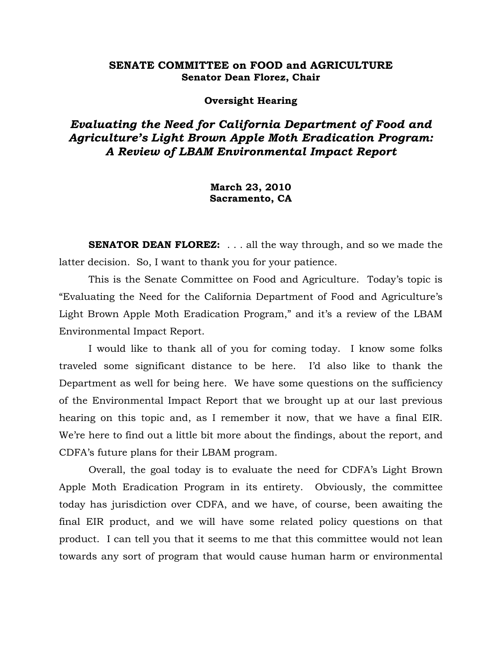# **SENATE COMMITTEE on FOOD and AGRICULTURE Senator Dean Florez, Chair**

#### **Oversight Hearing**

# *Evaluating the Need for California Department of Food and Agriculture's Light Brown Apple Moth Eradication Program: A Review of LBAM Environmental Impact Report*

**March 23, 2010 Sacramento, CA** 

**SENATOR DEAN FLOREZ:** . . . all the way through, and so we made the latter decision. So, I want to thank you for your patience.

 This is the Senate Committee on Food and Agriculture. Today's topic is "Evaluating the Need for the California Department of Food and Agriculture's Light Brown Apple Moth Eradication Program," and it's a review of the LBAM Environmental Impact Report.

 I would like to thank all of you for coming today. I know some folks traveled some significant distance to be here. I'd also like to thank the Department as well for being here. We have some questions on the sufficiency of the Environmental Impact Report that we brought up at our last previous hearing on this topic and, as I remember it now, that we have a final EIR. We're here to find out a little bit more about the findings, about the report, and CDFA's future plans for their LBAM program.

 Overall, the goal today is to evaluate the need for CDFA's Light Brown Apple Moth Eradication Program in its entirety. Obviously, the committee today has jurisdiction over CDFA, and we have, of course, been awaiting the final EIR product, and we will have some related policy questions on that product. I can tell you that it seems to me that this committee would not lean towards any sort of program that would cause human harm or environmental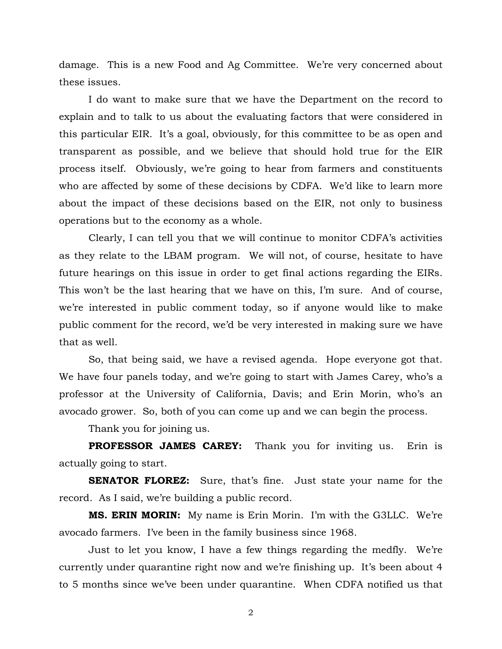damage. This is a new Food and Ag Committee. We're very concerned about these issues.

 I do want to make sure that we have the Department on the record to explain and to talk to us about the evaluating factors that were considered in this particular EIR. It's a goal, obviously, for this committee to be as open and transparent as possible, and we believe that should hold true for the EIR process itself. Obviously, we're going to hear from farmers and constituents who are affected by some of these decisions by CDFA. We'd like to learn more about the impact of these decisions based on the EIR, not only to business operations but to the economy as a whole.

 Clearly, I can tell you that we will continue to monitor CDFA's activities as they relate to the LBAM program. We will not, of course, hesitate to have future hearings on this issue in order to get final actions regarding the EIRs. This won't be the last hearing that we have on this, I'm sure. And of course, we're interested in public comment today, so if anyone would like to make public comment for the record, we'd be very interested in making sure we have that as well.

 So, that being said, we have a revised agenda. Hope everyone got that. We have four panels today, and we're going to start with James Carey, who's a professor at the University of California, Davis; and Erin Morin, who's an avocado grower. So, both of you can come up and we can begin the process.

Thank you for joining us.

 **PROFESSOR JAMES CAREY:** Thank you for inviting us. Erin is actually going to start.

**SENATOR FLOREZ:** Sure, that's fine. Just state your name for the record. As I said, we're building a public record.

 **MS. ERIN MORIN:** My name is Erin Morin. I'm with the G3LLC. We're avocado farmers. I've been in the family business since 1968.

 Just to let you know, I have a few things regarding the medfly. We're currently under quarantine right now and we're finishing up. It's been about 4 to 5 months since we've been under quarantine. When CDFA notified us that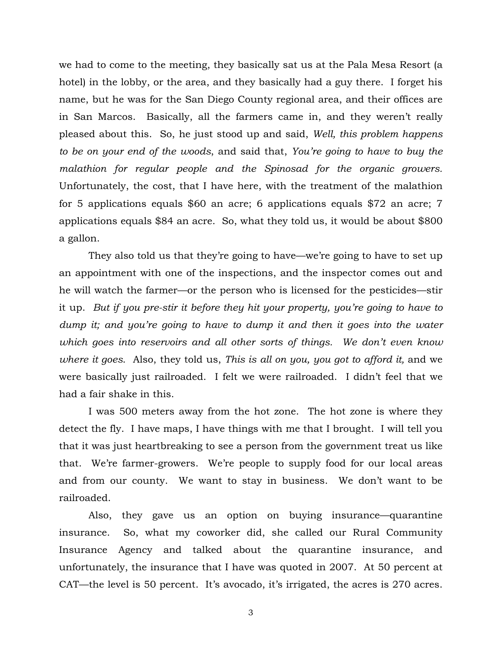we had to come to the meeting, they basically sat us at the Pala Mesa Resort (a hotel) in the lobby, or the area, and they basically had a guy there. I forget his name, but he was for the San Diego County regional area, and their offices are in San Marcos. Basically, all the farmers came in, and they weren't really pleased about this. So, he just stood up and said, *Well, this problem happens to be on your end of the woods*, and said that, *You're going to have to buy the malathion for regular people and the Spinosad for the organic growers.*  Unfortunately, the cost, that I have here, with the treatment of the malathion for 5 applications equals \$60 an acre; 6 applications equals \$72 an acre; 7 applications equals \$84 an acre. So, what they told us, it would be about \$800 a gallon.

 They also told us that they're going to have—we're going to have to set up an appointment with one of the inspections, and the inspector comes out and he will watch the farmer—or the person who is licensed for the pesticides—stir it up. *But if you pre-stir it before they hit your property, you're going to have to dump it; and you're going to have to dump it and then it goes into the water which goes into reservoirs and all other sorts of things. We don't even know where it goes*. Also, they told us, *This is all on you, you got to afford it,* and we were basically just railroaded. I felt we were railroaded. I didn't feel that we had a fair shake in this.

 I was 500 meters away from the hot zone. The hot zone is where they detect the fly. I have maps, I have things with me that I brought. I will tell you that it was just heartbreaking to see a person from the government treat us like that. We're farmer-growers. We're people to supply food for our local areas and from our county. We want to stay in business. We don't want to be railroaded.

 Also, they gave us an option on buying insurance—quarantine insurance. So, what my coworker did, she called our Rural Community Insurance Agency and talked about the quarantine insurance, and unfortunately, the insurance that I have was quoted in 2007. At 50 percent at CAT—the level is 50 percent. It's avocado, it's irrigated, the acres is 270 acres.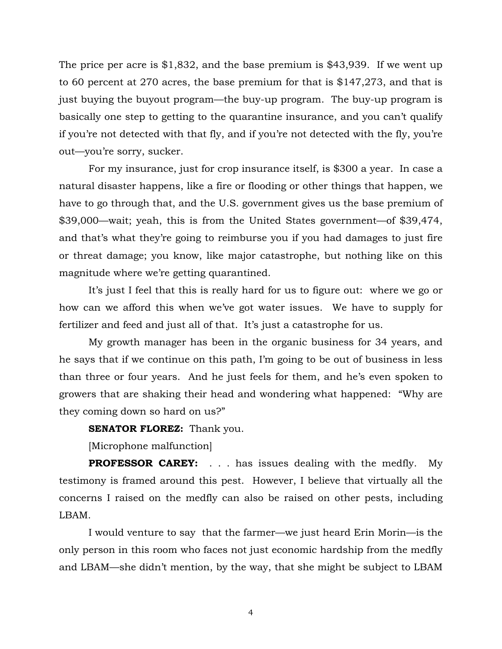The price per acre is \$1,832, and the base premium is \$43,939. If we went up to 60 percent at 270 acres, the base premium for that is \$147,273, and that is just buying the buyout program—the buy-up program. The buy-up program is basically one step to getting to the quarantine insurance, and you can't qualify if you're not detected with that fly, and if you're not detected with the fly, you're out—you're sorry, sucker.

 For my insurance, just for crop insurance itself, is \$300 a year. In case a natural disaster happens, like a fire or flooding or other things that happen, we have to go through that, and the U.S. government gives us the base premium of \$39,000—wait; yeah, this is from the United States government—of \$39,474, and that's what they're going to reimburse you if you had damages to just fire or threat damage; you know, like major catastrophe, but nothing like on this magnitude where we're getting quarantined.

 It's just I feel that this is really hard for us to figure out: where we go or how can we afford this when we've got water issues. We have to supply for fertilizer and feed and just all of that. It's just a catastrophe for us.

 My growth manager has been in the organic business for 34 years, and he says that if we continue on this path, I'm going to be out of business in less than three or four years. And he just feels for them, and he's even spoken to growers that are shaking their head and wondering what happened: "Why are they coming down so hard on us?"

**SENATOR FLOREZ:** Thank you.

[Microphone malfunction]

**PROFESSOR CAREY:** . . . has issues dealing with the medfly. My testimony is framed around this pest. However, I believe that virtually all the concerns I raised on the medfly can also be raised on other pests, including LBAM.

 I would venture to say that the farmer—we just heard Erin Morin—is the only person in this room who faces not just economic hardship from the medfly and LBAM—she didn't mention, by the way, that she might be subject to LBAM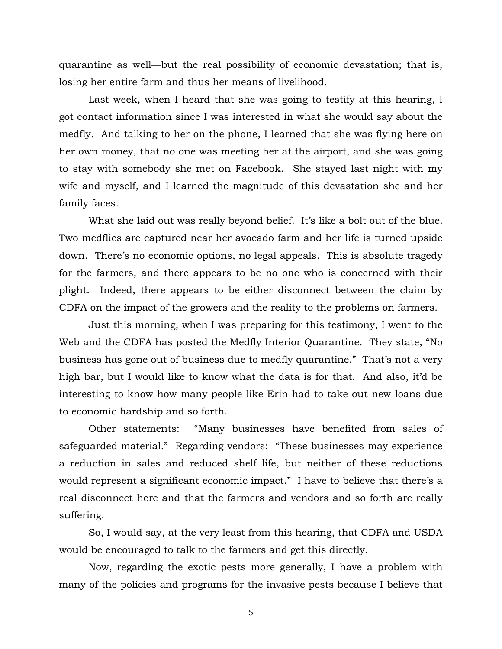quarantine as well—but the real possibility of economic devastation; that is, losing her entire farm and thus her means of livelihood.

 Last week, when I heard that she was going to testify at this hearing, I got contact information since I was interested in what she would say about the medfly. And talking to her on the phone, I learned that she was flying here on her own money, that no one was meeting her at the airport, and she was going to stay with somebody she met on Facebook. She stayed last night with my wife and myself, and I learned the magnitude of this devastation she and her family faces.

What she laid out was really beyond belief. It's like a bolt out of the blue. Two medflies are captured near her avocado farm and her life is turned upside down. There's no economic options, no legal appeals. This is absolute tragedy for the farmers, and there appears to be no one who is concerned with their plight. Indeed, there appears to be either disconnect between the claim by CDFA on the impact of the growers and the reality to the problems on farmers.

 Just this morning, when I was preparing for this testimony, I went to the Web and the CDFA has posted the Medfly Interior Quarantine. They state, "No business has gone out of business due to medfly quarantine." That's not a very high bar, but I would like to know what the data is for that. And also, it'd be interesting to know how many people like Erin had to take out new loans due to economic hardship and so forth.

 Other statements: "Many businesses have benefited from sales of safeguarded material." Regarding vendors: "These businesses may experience a reduction in sales and reduced shelf life, but neither of these reductions would represent a significant economic impact." I have to believe that there's a real disconnect here and that the farmers and vendors and so forth are really suffering.

 So, I would say, at the very least from this hearing, that CDFA and USDA would be encouraged to talk to the farmers and get this directly.

 Now, regarding the exotic pests more generally, I have a problem with many of the policies and programs for the invasive pests because I believe that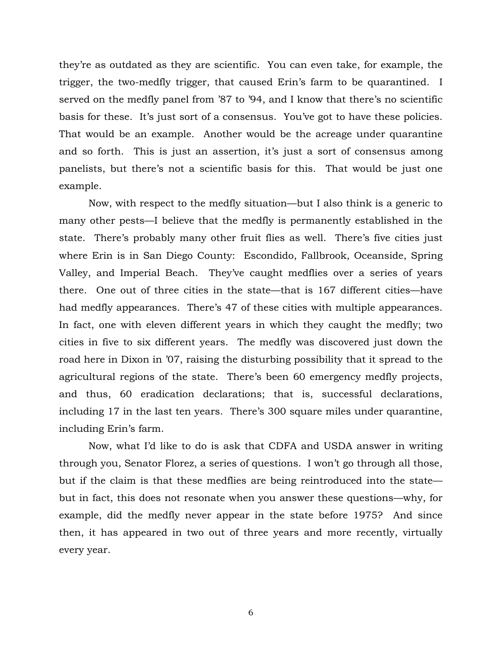they're as outdated as they are scientific. You can even take, for example, the trigger, the two-medfly trigger, that caused Erin's farm to be quarantined. I served on the medfly panel from '87 to '94, and I know that there's no scientific basis for these. It's just sort of a consensus. You've got to have these policies. That would be an example. Another would be the acreage under quarantine and so forth. This is just an assertion, it's just a sort of consensus among panelists, but there's not a scientific basis for this. That would be just one example.

 Now, with respect to the medfly situation—but I also think is a generic to many other pests—I believe that the medfly is permanently established in the state. There's probably many other fruit flies as well. There's five cities just where Erin is in San Diego County: Escondido, Fallbrook, Oceanside, Spring Valley, and Imperial Beach. They've caught medflies over a series of years there. One out of three cities in the state—that is 167 different cities—have had medfly appearances. There's 47 of these cities with multiple appearances. In fact, one with eleven different years in which they caught the medfly; two cities in five to six different years. The medfly was discovered just down the road here in Dixon in '07, raising the disturbing possibility that it spread to the agricultural regions of the state. There's been 60 emergency medfly projects, and thus, 60 eradication declarations; that is, successful declarations, including 17 in the last ten years. There's 300 square miles under quarantine, including Erin's farm.

 Now, what I'd like to do is ask that CDFA and USDA answer in writing through you, Senator Florez, a series of questions. I won't go through all those, but if the claim is that these medflies are being reintroduced into the state but in fact, this does not resonate when you answer these questions—why, for example, did the medfly never appear in the state before 1975? And since then, it has appeared in two out of three years and more recently, virtually every year.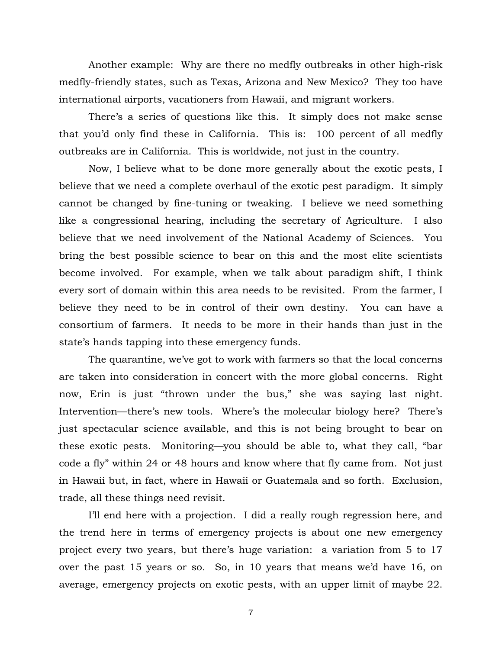Another example: Why are there no medfly outbreaks in other high-risk medfly-friendly states, such as Texas, Arizona and New Mexico? They too have international airports, vacationers from Hawaii, and migrant workers.

 There's a series of questions like this. It simply does not make sense that you'd only find these in California. This is: 100 percent of all medfly outbreaks are in California. This is worldwide, not just in the country.

 Now, I believe what to be done more generally about the exotic pests, I believe that we need a complete overhaul of the exotic pest paradigm. It simply cannot be changed by fine-tuning or tweaking. I believe we need something like a congressional hearing, including the secretary of Agriculture. I also believe that we need involvement of the National Academy of Sciences. You bring the best possible science to bear on this and the most elite scientists become involved. For example, when we talk about paradigm shift, I think every sort of domain within this area needs to be revisited. From the farmer, I believe they need to be in control of their own destiny. You can have a consortium of farmers. It needs to be more in their hands than just in the state's hands tapping into these emergency funds.

 The quarantine, we've got to work with farmers so that the local concerns are taken into consideration in concert with the more global concerns. Right now, Erin is just "thrown under the bus," she was saying last night. Intervention—there's new tools. Where's the molecular biology here? There's just spectacular science available, and this is not being brought to bear on these exotic pests. Monitoring—you should be able to, what they call, "bar code a fly" within 24 or 48 hours and know where that fly came from. Not just in Hawaii but, in fact, where in Hawaii or Guatemala and so forth. Exclusion, trade, all these things need revisit.

 I'll end here with a projection. I did a really rough regression here, and the trend here in terms of emergency projects is about one new emergency project every two years, but there's huge variation: a variation from 5 to 17 over the past 15 years or so. So, in 10 years that means we'd have 16, on average, emergency projects on exotic pests, with an upper limit of maybe 22.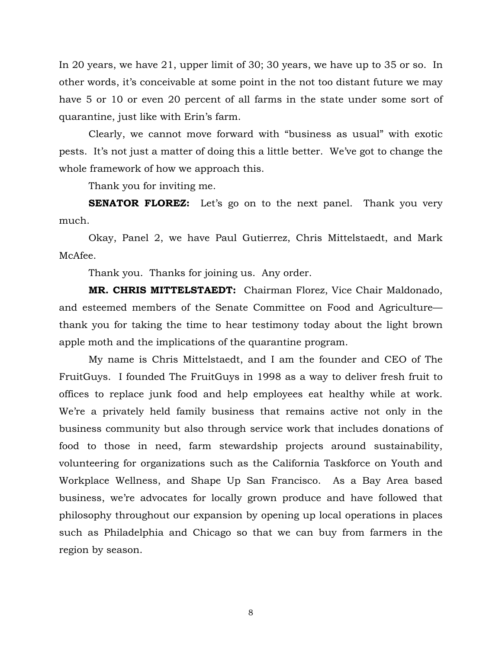In 20 years, we have 21, upper limit of 30; 30 years, we have up to 35 or so. In other words, it's conceivable at some point in the not too distant future we may have 5 or 10 or even 20 percent of all farms in the state under some sort of quarantine, just like with Erin's farm.

 Clearly, we cannot move forward with "business as usual" with exotic pests. It's not just a matter of doing this a little better. We've got to change the whole framework of how we approach this.

Thank you for inviting me.

**SENATOR FLOREZ:** Let's go on to the next panel. Thank you very much.

 Okay, Panel 2, we have Paul Gutierrez, Chris Mittelstaedt, and Mark McAfee.

Thank you. Thanks for joining us. Any order.

**MR. CHRIS MITTELSTAEDT:** Chairman Florez, Vice Chair Maldonado, and esteemed members of the Senate Committee on Food and Agriculture thank you for taking the time to hear testimony today about the light brown apple moth and the implications of the quarantine program.

 My name is Chris Mittelstaedt, and I am the founder and CEO of The FruitGuys. I founded The FruitGuys in 1998 as a way to deliver fresh fruit to offices to replace junk food and help employees eat healthy while at work. We're a privately held family business that remains active not only in the business community but also through service work that includes donations of food to those in need, farm stewardship projects around sustainability, volunteering for organizations such as the California Taskforce on Youth and Workplace Wellness, and Shape Up San Francisco. As a Bay Area based business, we're advocates for locally grown produce and have followed that philosophy throughout our expansion by opening up local operations in places such as Philadelphia and Chicago so that we can buy from farmers in the region by season.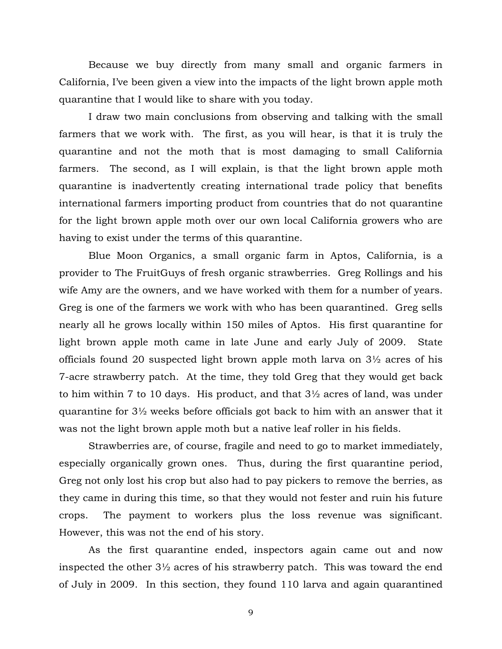Because we buy directly from many small and organic farmers in California, I've been given a view into the impacts of the light brown apple moth quarantine that I would like to share with you today.

 I draw two main conclusions from observing and talking with the small farmers that we work with. The first, as you will hear, is that it is truly the quarantine and not the moth that is most damaging to small California farmers. The second, as I will explain, is that the light brown apple moth quarantine is inadvertently creating international trade policy that benefits international farmers importing product from countries that do not quarantine for the light brown apple moth over our own local California growers who are having to exist under the terms of this quarantine.

 Blue Moon Organics, a small organic farm in Aptos, California, is a provider to The FruitGuys of fresh organic strawberries. Greg Rollings and his wife Amy are the owners, and we have worked with them for a number of years. Greg is one of the farmers we work with who has been quarantined. Greg sells nearly all he grows locally within 150 miles of Aptos. His first quarantine for light brown apple moth came in late June and early July of 2009. State officials found 20 suspected light brown apple moth larva on 3½ acres of his 7-acre strawberry patch. At the time, they told Greg that they would get back to him within 7 to 10 days. His product, and that 3½ acres of land, was under quarantine for 3½ weeks before officials got back to him with an answer that it was not the light brown apple moth but a native leaf roller in his fields.

 Strawberries are, of course, fragile and need to go to market immediately, especially organically grown ones. Thus, during the first quarantine period, Greg not only lost his crop but also had to pay pickers to remove the berries, as they came in during this time, so that they would not fester and ruin his future crops. The payment to workers plus the loss revenue was significant. However, this was not the end of his story.

 As the first quarantine ended, inspectors again came out and now inspected the other 3½ acres of his strawberry patch. This was toward the end of July in 2009. In this section, they found 110 larva and again quarantined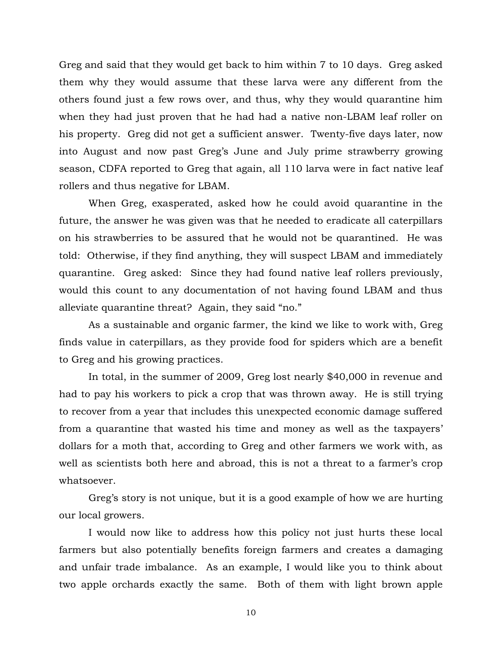Greg and said that they would get back to him within 7 to 10 days. Greg asked them why they would assume that these larva were any different from the others found just a few rows over, and thus, why they would quarantine him when they had just proven that he had had a native non-LBAM leaf roller on his property. Greg did not get a sufficient answer. Twenty-five days later, now into August and now past Greg's June and July prime strawberry growing season, CDFA reported to Greg that again, all 110 larva were in fact native leaf rollers and thus negative for LBAM.

 When Greg, exasperated, asked how he could avoid quarantine in the future, the answer he was given was that he needed to eradicate all caterpillars on his strawberries to be assured that he would not be quarantined. He was told: Otherwise, if they find anything, they will suspect LBAM and immediately quarantine. Greg asked: Since they had found native leaf rollers previously, would this count to any documentation of not having found LBAM and thus alleviate quarantine threat? Again, they said "no."

 As a sustainable and organic farmer, the kind we like to work with, Greg finds value in caterpillars, as they provide food for spiders which are a benefit to Greg and his growing practices.

 In total, in the summer of 2009, Greg lost nearly \$40,000 in revenue and had to pay his workers to pick a crop that was thrown away. He is still trying to recover from a year that includes this unexpected economic damage suffered from a quarantine that wasted his time and money as well as the taxpayers' dollars for a moth that, according to Greg and other farmers we work with, as well as scientists both here and abroad, this is not a threat to a farmer's crop whatsoever.

 Greg's story is not unique, but it is a good example of how we are hurting our local growers.

 I would now like to address how this policy not just hurts these local farmers but also potentially benefits foreign farmers and creates a damaging and unfair trade imbalance. As an example, I would like you to think about two apple orchards exactly the same. Both of them with light brown apple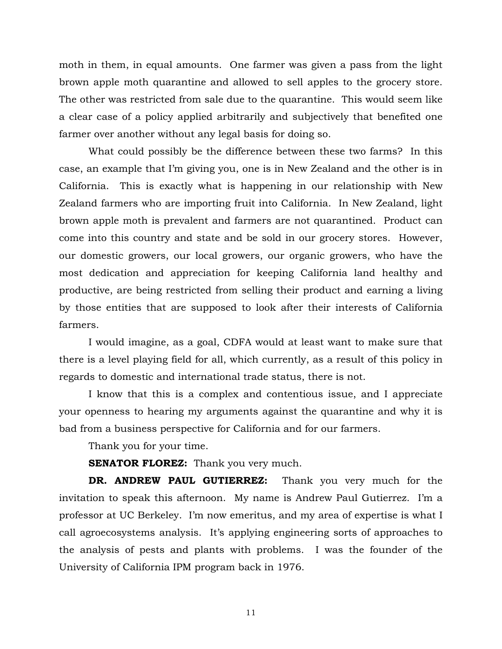moth in them, in equal amounts. One farmer was given a pass from the light brown apple moth quarantine and allowed to sell apples to the grocery store. The other was restricted from sale due to the quarantine. This would seem like a clear case of a policy applied arbitrarily and subjectively that benefited one farmer over another without any legal basis for doing so.

 What could possibly be the difference between these two farms? In this case, an example that I'm giving you, one is in New Zealand and the other is in California. This is exactly what is happening in our relationship with New Zealand farmers who are importing fruit into California. In New Zealand, light brown apple moth is prevalent and farmers are not quarantined. Product can come into this country and state and be sold in our grocery stores. However, our domestic growers, our local growers, our organic growers, who have the most dedication and appreciation for keeping California land healthy and productive, are being restricted from selling their product and earning a living by those entities that are supposed to look after their interests of California farmers.

 I would imagine, as a goal, CDFA would at least want to make sure that there is a level playing field for all, which currently, as a result of this policy in regards to domestic and international trade status, there is not.

 I know that this is a complex and contentious issue, and I appreciate your openness to hearing my arguments against the quarantine and why it is bad from a business perspective for California and for our farmers.

Thank you for your time.

**SENATOR FLOREZ:** Thank you very much.

 **DR. ANDREW PAUL GUTIERREZ:** Thank you very much for the invitation to speak this afternoon. My name is Andrew Paul Gutierrez. I'm a professor at UC Berkeley. I'm now emeritus, and my area of expertise is what I call agroecosystems analysis. It's applying engineering sorts of approaches to the analysis of pests and plants with problems. I was the founder of the University of California IPM program back in 1976.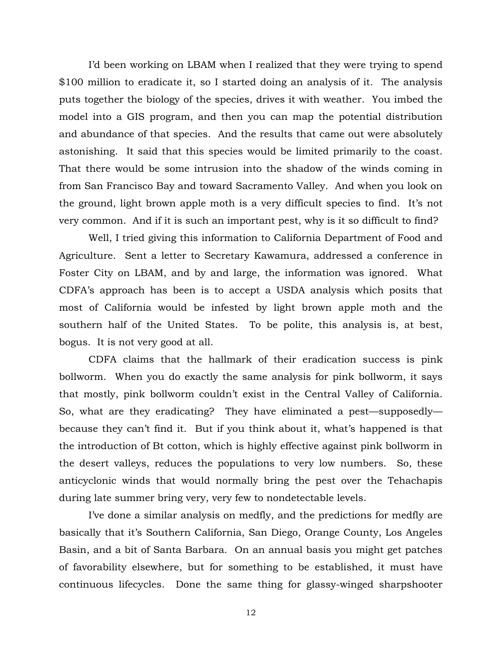I'd been working on LBAM when I realized that they were trying to spend \$100 million to eradicate it, so I started doing an analysis of it. The analysis puts together the biology of the species, drives it with weather. You imbed the model into a GIS program, and then you can map the potential distribution and abundance of that species. And the results that came out were absolutely astonishing. It said that this species would be limited primarily to the coast. That there would be some intrusion into the shadow of the winds coming in from San Francisco Bay and toward Sacramento Valley. And when you look on the ground, light brown apple moth is a very difficult species to find. It's not very common. And if it is such an important pest, why is it so difficult to find?

 Well, I tried giving this information to California Department of Food and Agriculture. Sent a letter to Secretary Kawamura, addressed a conference in Foster City on LBAM, and by and large, the information was ignored. What CDFA's approach has been is to accept a USDA analysis which posits that most of California would be infested by light brown apple moth and the southern half of the United States. To be polite, this analysis is, at best, bogus. It is not very good at all.

 CDFA claims that the hallmark of their eradication success is pink bollworm. When you do exactly the same analysis for pink bollworm, it says that mostly, pink bollworm couldn't exist in the Central Valley of California. So, what are they eradicating? They have eliminated a pest—supposedly because they can't find it. But if you think about it, what's happened is that the introduction of Bt cotton, which is highly effective against pink bollworm in the desert valleys, reduces the populations to very low numbers. So, these anticyclonic winds that would normally bring the pest over the Tehachapis during late summer bring very, very few to nondetectable levels.

 I've done a similar analysis on medfly, and the predictions for medfly are basically that it's Southern California, San Diego, Orange County, Los Angeles Basin, and a bit of Santa Barbara. On an annual basis you might get patches of favorability elsewhere, but for something to be established, it must have continuous lifecycles. Done the same thing for glassy-winged sharpshooter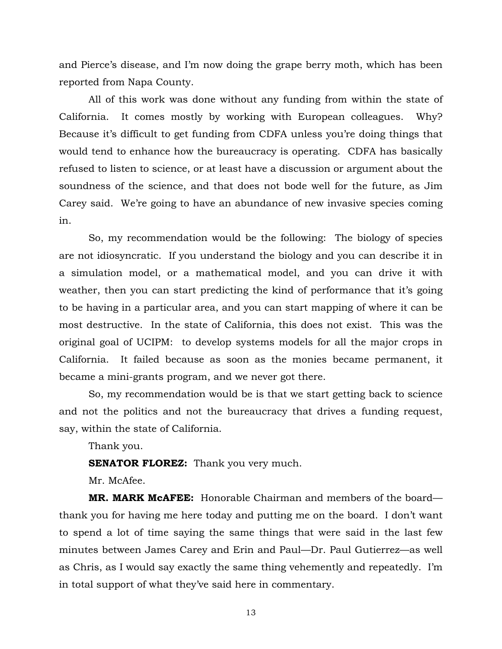and Pierce's disease, and I'm now doing the grape berry moth, which has been reported from Napa County.

 All of this work was done without any funding from within the state of California. It comes mostly by working with European colleagues. Why? Because it's difficult to get funding from CDFA unless you're doing things that would tend to enhance how the bureaucracy is operating. CDFA has basically refused to listen to science, or at least have a discussion or argument about the soundness of the science, and that does not bode well for the future, as Jim Carey said. We're going to have an abundance of new invasive species coming in.

 So, my recommendation would be the following: The biology of species are not idiosyncratic. If you understand the biology and you can describe it in a simulation model, or a mathematical model, and you can drive it with weather, then you can start predicting the kind of performance that it's going to be having in a particular area, and you can start mapping of where it can be most destructive. In the state of California, this does not exist. This was the original goal of UCIPM: to develop systems models for all the major crops in California. It failed because as soon as the monies became permanent, it became a mini-grants program, and we never got there.

 So, my recommendation would be is that we start getting back to science and not the politics and not the bureaucracy that drives a funding request, say, within the state of California.

Thank you.

**SENATOR FLOREZ:** Thank you very much.

Mr. McAfee.

 **MR. MARK McAFEE:** Honorable Chairman and members of the board thank you for having me here today and putting me on the board. I don't want to spend a lot of time saying the same things that were said in the last few minutes between James Carey and Erin and Paul—Dr. Paul Gutierrez—as well as Chris, as I would say exactly the same thing vehemently and repeatedly. I'm in total support of what they've said here in commentary.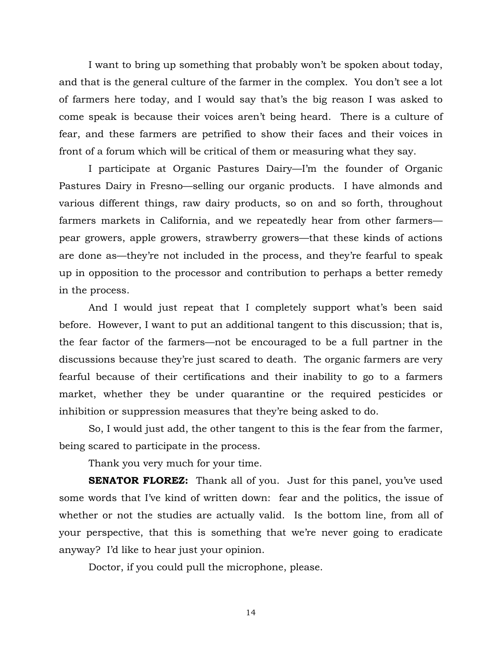I want to bring up something that probably won't be spoken about today, and that is the general culture of the farmer in the complex. You don't see a lot of farmers here today, and I would say that's the big reason I was asked to come speak is because their voices aren't being heard. There is a culture of fear, and these farmers are petrified to show their faces and their voices in front of a forum which will be critical of them or measuring what they say.

 I participate at Organic Pastures Dairy—I'm the founder of Organic Pastures Dairy in Fresno—selling our organic products. I have almonds and various different things, raw dairy products, so on and so forth, throughout farmers markets in California, and we repeatedly hear from other farmers pear growers, apple growers, strawberry growers—that these kinds of actions are done as—they're not included in the process, and they're fearful to speak up in opposition to the processor and contribution to perhaps a better remedy in the process.

 And I would just repeat that I completely support what's been said before. However, I want to put an additional tangent to this discussion; that is, the fear factor of the farmers—not be encouraged to be a full partner in the discussions because they're just scared to death. The organic farmers are very fearful because of their certifications and their inability to go to a farmers market, whether they be under quarantine or the required pesticides or inhibition or suppression measures that they're being asked to do.

 So, I would just add, the other tangent to this is the fear from the farmer, being scared to participate in the process.

Thank you very much for your time.

**SENATOR FLOREZ:** Thank all of you. Just for this panel, you've used some words that I've kind of written down: fear and the politics, the issue of whether or not the studies are actually valid. Is the bottom line, from all of your perspective, that this is something that we're never going to eradicate anyway? I'd like to hear just your opinion.

Doctor, if you could pull the microphone, please.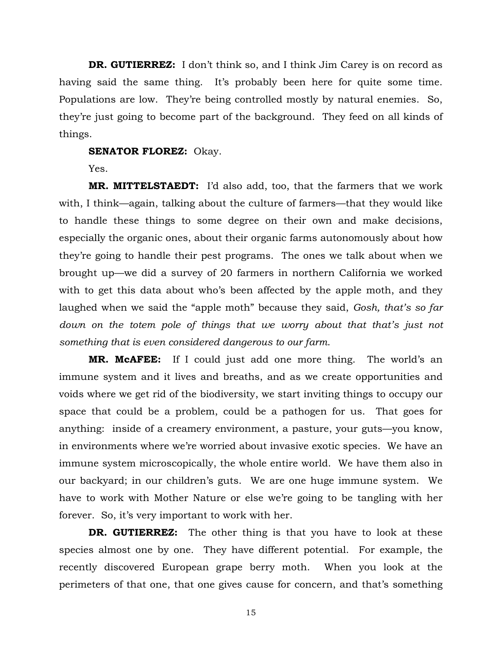**DR. GUTIERREZ:** I don't think so, and I think Jim Carey is on record as having said the same thing. It's probably been here for quite some time. Populations are low. They're being controlled mostly by natural enemies. So, they're just going to become part of the background. They feed on all kinds of things.

#### **SENATOR FLOREZ:** Okay.

Yes.

 **MR. MITTELSTAEDT:** I'd also add, too, that the farmers that we work with, I think—again, talking about the culture of farmers—that they would like to handle these things to some degree on their own and make decisions, especially the organic ones, about their organic farms autonomously about how they're going to handle their pest programs. The ones we talk about when we brought up—we did a survey of 20 farmers in northern California we worked with to get this data about who's been affected by the apple moth, and they laughed when we said the "apple moth" because they said, *Gosh, that's so far*  down on the totem pole of things that we worry about that that's just not *something that is even considered dangerous to our farm*.

 **MR. McAFEE:** If I could just add one more thing. The world's an immune system and it lives and breaths, and as we create opportunities and voids where we get rid of the biodiversity, we start inviting things to occupy our space that could be a problem, could be a pathogen for us. That goes for anything: inside of a creamery environment, a pasture, your guts—you know, in environments where we're worried about invasive exotic species. We have an immune system microscopically, the whole entire world. We have them also in our backyard; in our children's guts. We are one huge immune system. We have to work with Mother Nature or else we're going to be tangling with her forever. So, it's very important to work with her.

 **DR. GUTIERREZ:** The other thing is that you have to look at these species almost one by one. They have different potential. For example, the recently discovered European grape berry moth. When you look at the perimeters of that one, that one gives cause for concern, and that's something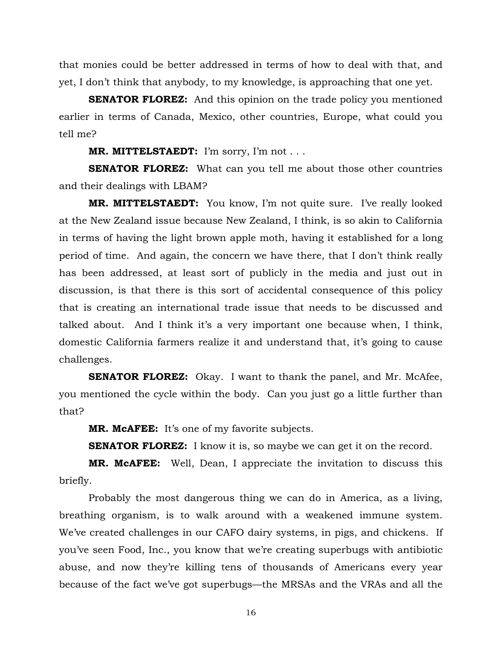that monies could be better addressed in terms of how to deal with that, and yet, I don't think that anybody, to my knowledge, is approaching that one yet.

**SENATOR FLOREZ:** And this opinion on the trade policy you mentioned earlier in terms of Canada, Mexico, other countries, Europe, what could you tell me?

 **MR. MITTELSTAEDT:** I'm sorry, I'm not . . .

**SENATOR FLOREZ:** What can you tell me about those other countries and their dealings with LBAM?

 **MR. MITTELSTAEDT:** You know, I'm not quite sure. I've really looked at the New Zealand issue because New Zealand, I think, is so akin to California in terms of having the light brown apple moth, having it established for a long period of time. And again, the concern we have there, that I don't think really has been addressed, at least sort of publicly in the media and just out in discussion, is that there is this sort of accidental consequence of this policy that is creating an international trade issue that needs to be discussed and talked about. And I think it's a very important one because when, I think, domestic California farmers realize it and understand that, it's going to cause challenges.

**SENATOR FLOREZ:** Okay. I want to thank the panel, and Mr. McAfee, you mentioned the cycle within the body. Can you just go a little further than that?

 **MR. McAFEE:** It's one of my favorite subjects.

**SENATOR FLOREZ:** I know it is, so maybe we can get it on the record.

 **MR. McAFEE:** Well, Dean, I appreciate the invitation to discuss this briefly.

 Probably the most dangerous thing we can do in America, as a living, breathing organism, is to walk around with a weakened immune system. We've created challenges in our CAFO dairy systems, in pigs, and chickens. If you've seen Food, Inc., you know that we're creating superbugs with antibiotic abuse, and now they're killing tens of thousands of Americans every year because of the fact we've got superbugs—the MRSAs and the VRAs and all the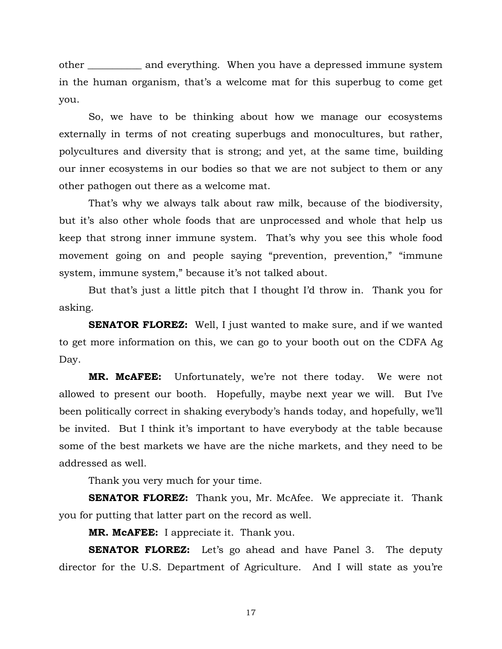other \_\_\_\_\_\_\_\_\_\_\_ and everything. When you have a depressed immune system in the human organism, that's a welcome mat for this superbug to come get you.

 So, we have to be thinking about how we manage our ecosystems externally in terms of not creating superbugs and monocultures, but rather, polycultures and diversity that is strong; and yet, at the same time, building our inner ecosystems in our bodies so that we are not subject to them or any other pathogen out there as a welcome mat.

 That's why we always talk about raw milk, because of the biodiversity, but it's also other whole foods that are unprocessed and whole that help us keep that strong inner immune system. That's why you see this whole food movement going on and people saying "prevention, prevention," "immune system, immune system," because it's not talked about.

 But that's just a little pitch that I thought I'd throw in. Thank you for asking.

**SENATOR FLOREZ:** Well, I just wanted to make sure, and if we wanted to get more information on this, we can go to your booth out on the CDFA Ag Day.

 **MR. McAFEE:** Unfortunately, we're not there today. We were not allowed to present our booth. Hopefully, maybe next year we will. But I've been politically correct in shaking everybody's hands today, and hopefully, we'll be invited. But I think it's important to have everybody at the table because some of the best markets we have are the niche markets, and they need to be addressed as well.

Thank you very much for your time.

**SENATOR FLOREZ:** Thank you, Mr. McAfee. We appreciate it. Thank you for putting that latter part on the record as well.

 **MR. McAFEE:** I appreciate it. Thank you.

**SENATOR FLOREZ:** Let's go ahead and have Panel 3. The deputy director for the U.S. Department of Agriculture. And I will state as you're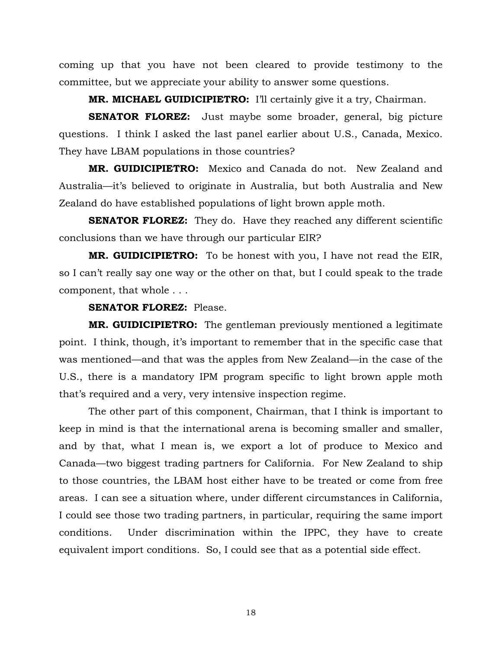coming up that you have not been cleared to provide testimony to the committee, but we appreciate your ability to answer some questions.

 **MR. MICHAEL GUIDICIPIETRO:** I'll certainly give it a try, Chairman.

**SENATOR FLOREZ:** Just maybe some broader, general, big picture questions. I think I asked the last panel earlier about U.S., Canada, Mexico. They have LBAM populations in those countries?

 **MR. GUIDICIPIETRO:** Mexico and Canada do not. New Zealand and Australia—it's believed to originate in Australia, but both Australia and New Zealand do have established populations of light brown apple moth.

**SENATOR FLOREZ:** They do. Have they reached any different scientific conclusions than we have through our particular EIR?

**MR. GUIDICIPIETRO:** To be honest with you, I have not read the EIR, so I can't really say one way or the other on that, but I could speak to the trade component, that whole . . .

## **SENATOR FLOREZ:** Please.

 **MR. GUIDICIPIETRO:** The gentleman previously mentioned a legitimate point. I think, though, it's important to remember that in the specific case that was mentioned—and that was the apples from New Zealand—in the case of the U.S., there is a mandatory IPM program specific to light brown apple moth that's required and a very, very intensive inspection regime.

 The other part of this component, Chairman, that I think is important to keep in mind is that the international arena is becoming smaller and smaller, and by that, what I mean is, we export a lot of produce to Mexico and Canada—two biggest trading partners for California. For New Zealand to ship to those countries, the LBAM host either have to be treated or come from free areas. I can see a situation where, under different circumstances in California, I could see those two trading partners, in particular, requiring the same import conditions. Under discrimination within the IPPC, they have to create equivalent import conditions. So, I could see that as a potential side effect.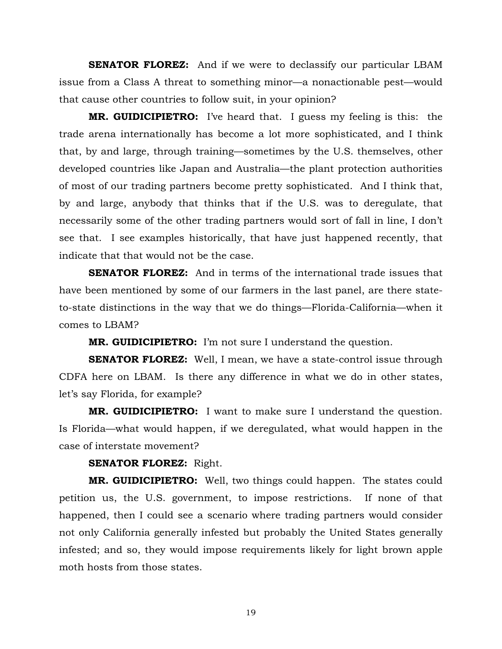**SENATOR FLOREZ:** And if we were to declassify our particular LBAM issue from a Class A threat to something minor—a nonactionable pest—would that cause other countries to follow suit, in your opinion?

 **MR. GUIDICIPIETRO:** I've heard that. I guess my feeling is this: the trade arena internationally has become a lot more sophisticated, and I think that, by and large, through training—sometimes by the U.S. themselves, other developed countries like Japan and Australia—the plant protection authorities of most of our trading partners become pretty sophisticated. And I think that, by and large, anybody that thinks that if the U.S. was to deregulate, that necessarily some of the other trading partners would sort of fall in line, I don't see that. I see examples historically, that have just happened recently, that indicate that that would not be the case.

 **SENATOR FLOREZ:** And in terms of the international trade issues that have been mentioned by some of our farmers in the last panel, are there stateto-state distinctions in the way that we do things—Florida-California—when it comes to LBAM?

 **MR. GUIDICIPIETRO:** I'm not sure I understand the question.

**SENATOR FLOREZ:** Well, I mean, we have a state-control issue through CDFA here on LBAM. Is there any difference in what we do in other states, let's say Florida, for example?

 **MR. GUIDICIPIETRO:** I want to make sure I understand the question. Is Florida—what would happen, if we deregulated, what would happen in the case of interstate movement?

# **SENATOR FLOREZ:** Right.

 **MR. GUIDICIPIETRO:** Well, two things could happen. The states could petition us, the U.S. government, to impose restrictions. If none of that happened, then I could see a scenario where trading partners would consider not only California generally infested but probably the United States generally infested; and so, they would impose requirements likely for light brown apple moth hosts from those states.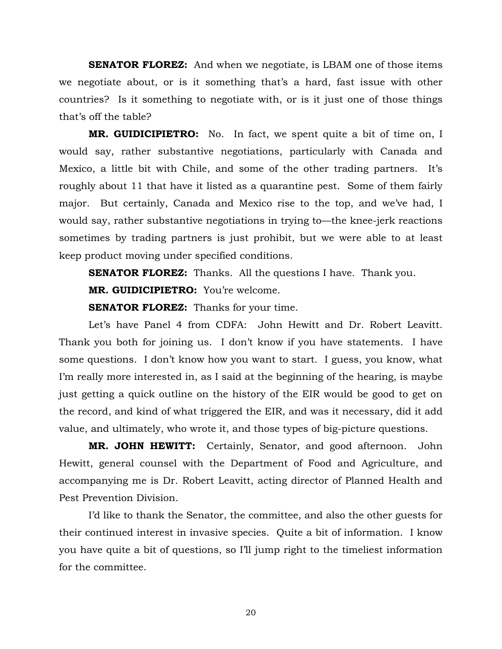**SENATOR FLOREZ:** And when we negotiate, is LBAM one of those items we negotiate about, or is it something that's a hard, fast issue with other countries? Is it something to negotiate with, or is it just one of those things that's off the table?

 **MR. GUIDICIPIETRO:** No. In fact, we spent quite a bit of time on, I would say, rather substantive negotiations, particularly with Canada and Mexico, a little bit with Chile, and some of the other trading partners. It's roughly about 11 that have it listed as a quarantine pest. Some of them fairly major. But certainly, Canada and Mexico rise to the top, and we've had, I would say, rather substantive negotiations in trying to—the knee-jerk reactions sometimes by trading partners is just prohibit, but we were able to at least keep product moving under specified conditions.

**SENATOR FLOREZ:** Thanks. All the questions I have. Thank you.

 **MR. GUIDICIPIETRO:** You're welcome.

**SENATOR FLOREZ:** Thanks for your time.

 Let's have Panel 4 from CDFA: John Hewitt and Dr. Robert Leavitt. Thank you both for joining us. I don't know if you have statements. I have some questions. I don't know how you want to start. I guess, you know, what I'm really more interested in, as I said at the beginning of the hearing, is maybe just getting a quick outline on the history of the EIR would be good to get on the record, and kind of what triggered the EIR, and was it necessary, did it add value, and ultimately, who wrote it, and those types of big-picture questions.

 **MR. JOHN HEWITT:** Certainly, Senator, and good afternoon. John Hewitt, general counsel with the Department of Food and Agriculture, and accompanying me is Dr. Robert Leavitt, acting director of Planned Health and Pest Prevention Division.

 I'd like to thank the Senator, the committee, and also the other guests for their continued interest in invasive species. Quite a bit of information. I know you have quite a bit of questions, so I'll jump right to the timeliest information for the committee.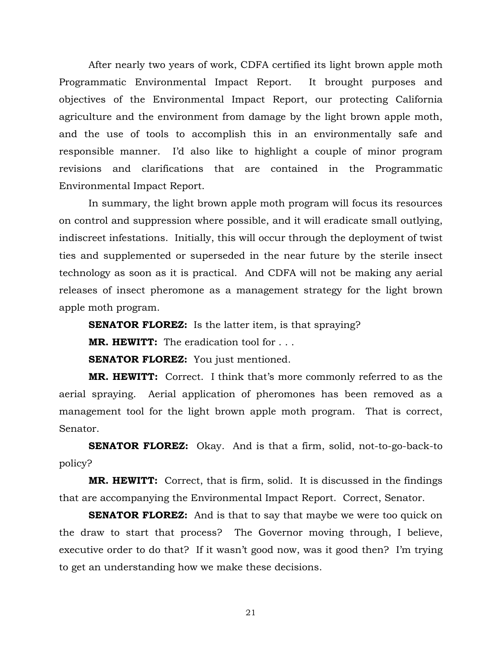After nearly two years of work, CDFA certified its light brown apple moth Programmatic Environmental Impact Report. It brought purposes and objectives of the Environmental Impact Report, our protecting California agriculture and the environment from damage by the light brown apple moth, and the use of tools to accomplish this in an environmentally safe and responsible manner. I'd also like to highlight a couple of minor program revisions and clarifications that are contained in the Programmatic Environmental Impact Report.

 In summary, the light brown apple moth program will focus its resources on control and suppression where possible, and it will eradicate small outlying, indiscreet infestations. Initially, this will occur through the deployment of twist ties and supplemented or superseded in the near future by the sterile insect technology as soon as it is practical. And CDFA will not be making any aerial releases of insect pheromone as a management strategy for the light brown apple moth program.

**SENATOR FLOREZ:** Is the latter item, is that spraying?

 **MR. HEWITT:** The eradication tool for . . .

**SENATOR FLOREZ:** You just mentioned.

 **MR. HEWITT:** Correct. I think that's more commonly referred to as the aerial spraying. Aerial application of pheromones has been removed as a management tool for the light brown apple moth program. That is correct, Senator.

 **SENATOR FLOREZ:** Okay. And is that a firm, solid, not-to-go-back-to policy?

 **MR. HEWITT:** Correct, that is firm, solid. It is discussed in the findings that are accompanying the Environmental Impact Report. Correct, Senator.

**SENATOR FLOREZ:** And is that to say that maybe we were too quick on the draw to start that process? The Governor moving through, I believe, executive order to do that? If it wasn't good now, was it good then? I'm trying to get an understanding how we make these decisions.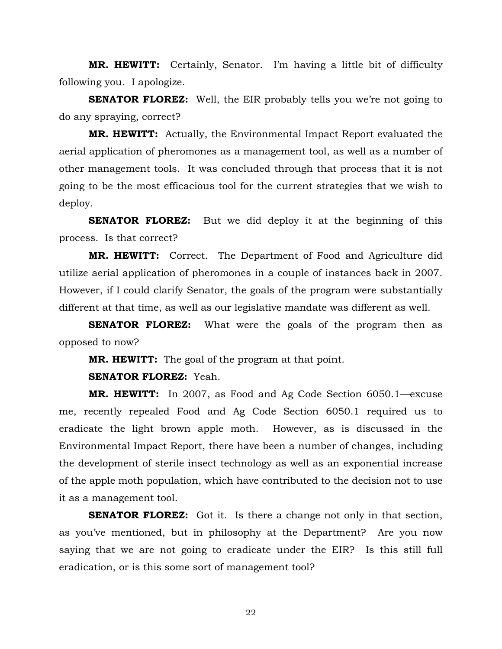**MR. HEWITT:** Certainly, Senator. I'm having a little bit of difficulty following you. I apologize.

**SENATOR FLOREZ:** Well, the EIR probably tells you we're not going to do any spraying, correct?

 **MR. HEWITT:** Actually, the Environmental Impact Report evaluated the aerial application of pheromones as a management tool, as well as a number of other management tools. It was concluded through that process that it is not going to be the most efficacious tool for the current strategies that we wish to deploy.

**SENATOR FLOREZ:** But we did deploy it at the beginning of this process. Is that correct?

 **MR. HEWITT:** Correct. The Department of Food and Agriculture did utilize aerial application of pheromones in a couple of instances back in 2007. However, if I could clarify Senator, the goals of the program were substantially different at that time, as well as our legislative mandate was different as well.

**SENATOR FLOREZ:** What were the goals of the program then as opposed to now?

 **MR. HEWITT:** The goal of the program at that point.

 **SENATOR FLOREZ:** Yeah.

 **MR. HEWITT:** In 2007, as Food and Ag Code Section 6050.1—excuse me, recently repealed Food and Ag Code Section 6050.1 required us to eradicate the light brown apple moth. However, as is discussed in the Environmental Impact Report, there have been a number of changes, including the development of sterile insect technology as well as an exponential increase of the apple moth population, which have contributed to the decision not to use it as a management tool.

**SENATOR FLOREZ:** Got it. Is there a change not only in that section, as you've mentioned, but in philosophy at the Department? Are you now saying that we are not going to eradicate under the EIR? Is this still full eradication, or is this some sort of management tool?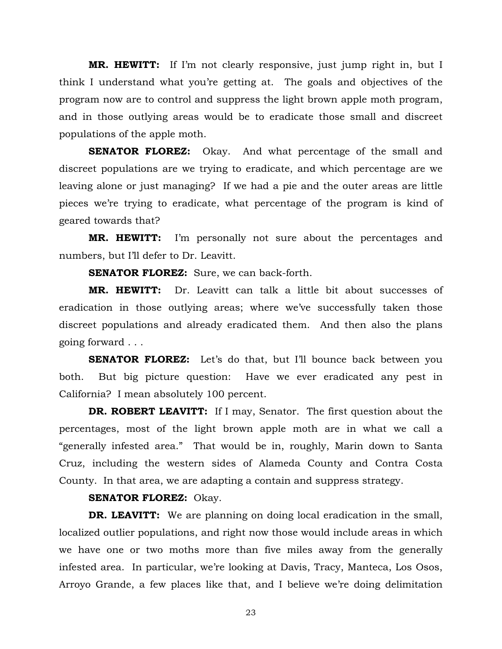**MR. HEWITT:** If I'm not clearly responsive, just jump right in, but I think I understand what you're getting at. The goals and objectives of the program now are to control and suppress the light brown apple moth program, and in those outlying areas would be to eradicate those small and discreet populations of the apple moth.

**SENATOR FLOREZ:** Okay. And what percentage of the small and discreet populations are we trying to eradicate, and which percentage are we leaving alone or just managing? If we had a pie and the outer areas are little pieces we're trying to eradicate, what percentage of the program is kind of geared towards that?

 **MR. HEWITT:** I'm personally not sure about the percentages and numbers, but I'll defer to Dr. Leavitt.

 **SENATOR FLOREZ:** Sure, we can back-forth.

 **MR. HEWITT:** Dr. Leavitt can talk a little bit about successes of eradication in those outlying areas; where we've successfully taken those discreet populations and already eradicated them. And then also the plans going forward . . .

**SENATOR FLOREZ:** Let's do that, but I'll bounce back between you both. But big picture question: Have we ever eradicated any pest in California? I mean absolutely 100 percent.

**DR. ROBERT LEAVITT:** If I may, Senator. The first question about the percentages, most of the light brown apple moth are in what we call a "generally infested area." That would be in, roughly, Marin down to Santa Cruz, including the western sides of Alameda County and Contra Costa County. In that area, we are adapting a contain and suppress strategy.

#### **SENATOR FLOREZ:** Okay.

**DR. LEAVITT:** We are planning on doing local eradication in the small, localized outlier populations, and right now those would include areas in which we have one or two moths more than five miles away from the generally infested area. In particular, we're looking at Davis, Tracy, Manteca, Los Osos, Arroyo Grande, a few places like that, and I believe we're doing delimitation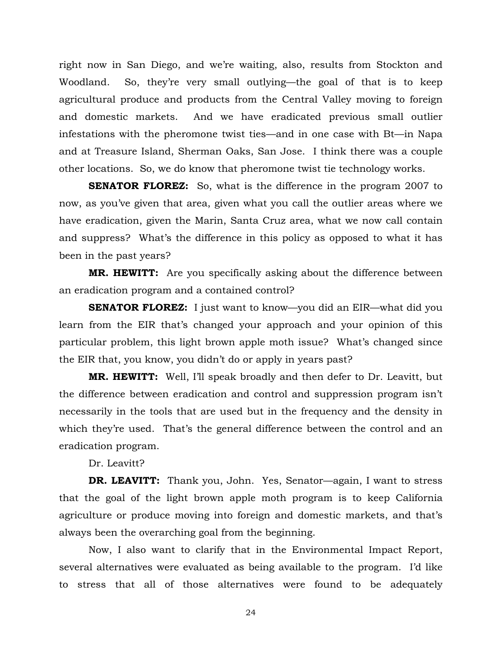right now in San Diego, and we're waiting, also, results from Stockton and Woodland. So, they're very small outlying—the goal of that is to keep agricultural produce and products from the Central Valley moving to foreign and domestic markets. And we have eradicated previous small outlier infestations with the pheromone twist ties—and in one case with Bt—in Napa and at Treasure Island, Sherman Oaks, San Jose. I think there was a couple other locations. So, we do know that pheromone twist tie technology works.

**SENATOR FLOREZ:** So, what is the difference in the program 2007 to now, as you've given that area, given what you call the outlier areas where we have eradication, given the Marin, Santa Cruz area, what we now call contain and suppress? What's the difference in this policy as opposed to what it has been in the past years?

 **MR. HEWITT:** Are you specifically asking about the difference between an eradication program and a contained control?

**SENATOR FLOREZ:** I just want to know—you did an EIR—what did you learn from the EIR that's changed your approach and your opinion of this particular problem, this light brown apple moth issue? What's changed since the EIR that, you know, you didn't do or apply in years past?

 **MR. HEWITT:** Well, I'll speak broadly and then defer to Dr. Leavitt, but the difference between eradication and control and suppression program isn't necessarily in the tools that are used but in the frequency and the density in which they're used. That's the general difference between the control and an eradication program.

Dr. Leavitt?

 **DR. LEAVITT:** Thank you, John. Yes, Senator—again, I want to stress that the goal of the light brown apple moth program is to keep California agriculture or produce moving into foreign and domestic markets, and that's always been the overarching goal from the beginning.

 Now, I also want to clarify that in the Environmental Impact Report, several alternatives were evaluated as being available to the program. I'd like to stress that all of those alternatives were found to be adequately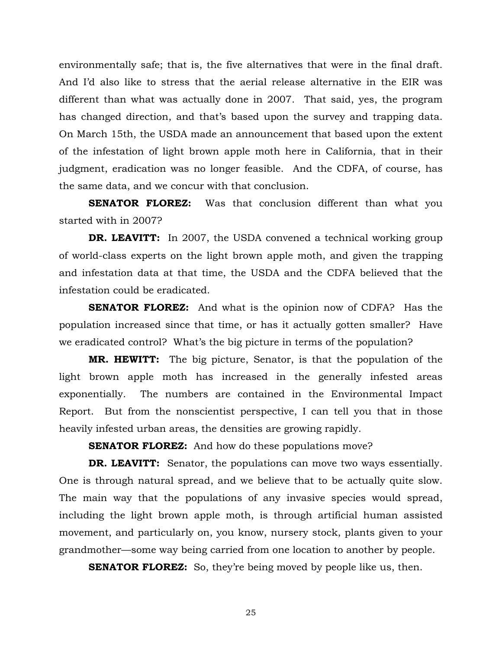environmentally safe; that is, the five alternatives that were in the final draft. And I'd also like to stress that the aerial release alternative in the EIR was different than what was actually done in 2007. That said, yes, the program has changed direction, and that's based upon the survey and trapping data. On March 15th, the USDA made an announcement that based upon the extent of the infestation of light brown apple moth here in California, that in their judgment, eradication was no longer feasible. And the CDFA, of course, has the same data, and we concur with that conclusion.

**SENATOR FLOREZ:** Was that conclusion different than what you started with in 2007?

**DR. LEAVITT:** In 2007, the USDA convened a technical working group of world-class experts on the light brown apple moth, and given the trapping and infestation data at that time, the USDA and the CDFA believed that the infestation could be eradicated.

 **SENATOR FLOREZ:** And what is the opinion now of CDFA? Has the population increased since that time, or has it actually gotten smaller? Have we eradicated control? What's the big picture in terms of the population?

**MR. HEWITT:** The big picture, Senator, is that the population of the light brown apple moth has increased in the generally infested areas exponentially. The numbers are contained in the Environmental Impact Report. But from the nonscientist perspective, I can tell you that in those heavily infested urban areas, the densities are growing rapidly.

**SENATOR FLOREZ:** And how do these populations move?

**DR. LEAVITT:** Senator, the populations can move two ways essentially. One is through natural spread, and we believe that to be actually quite slow. The main way that the populations of any invasive species would spread, including the light brown apple moth, is through artificial human assisted movement, and particularly on, you know, nursery stock, plants given to your grandmother—some way being carried from one location to another by people.

**SENATOR FLOREZ:** So, they're being moved by people like us, then.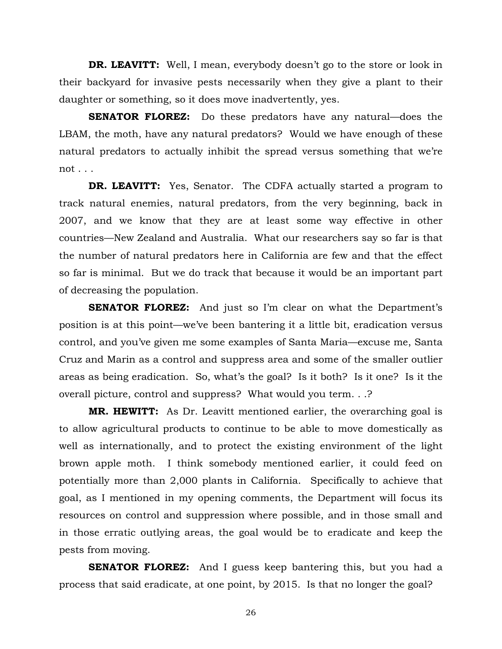**DR. LEAVITT:** Well, I mean, everybody doesn't go to the store or look in their backyard for invasive pests necessarily when they give a plant to their daughter or something, so it does move inadvertently, yes.

**SENATOR FLOREZ:** Do these predators have any natural—does the LBAM, the moth, have any natural predators? Would we have enough of these natural predators to actually inhibit the spread versus something that we're not . . .

**DR. LEAVITT:** Yes, Senator. The CDFA actually started a program to track natural enemies, natural predators, from the very beginning, back in 2007, and we know that they are at least some way effective in other countries—New Zealand and Australia. What our researchers say so far is that the number of natural predators here in California are few and that the effect so far is minimal. But we do track that because it would be an important part of decreasing the population.

**SENATOR FLOREZ:** And just so I'm clear on what the Department's position is at this point—we've been bantering it a little bit, eradication versus control, and you've given me some examples of Santa Maria—excuse me, Santa Cruz and Marin as a control and suppress area and some of the smaller outlier areas as being eradication. So, what's the goal? Is it both? Is it one? Is it the overall picture, control and suppress? What would you term. . .?

**MR. HEWITT:** As Dr. Leavitt mentioned earlier, the overarching goal is to allow agricultural products to continue to be able to move domestically as well as internationally, and to protect the existing environment of the light brown apple moth. I think somebody mentioned earlier, it could feed on potentially more than 2,000 plants in California. Specifically to achieve that goal, as I mentioned in my opening comments, the Department will focus its resources on control and suppression where possible, and in those small and in those erratic outlying areas, the goal would be to eradicate and keep the pests from moving.

**SENATOR FLOREZ:** And I guess keep bantering this, but you had a process that said eradicate, at one point, by 2015. Is that no longer the goal?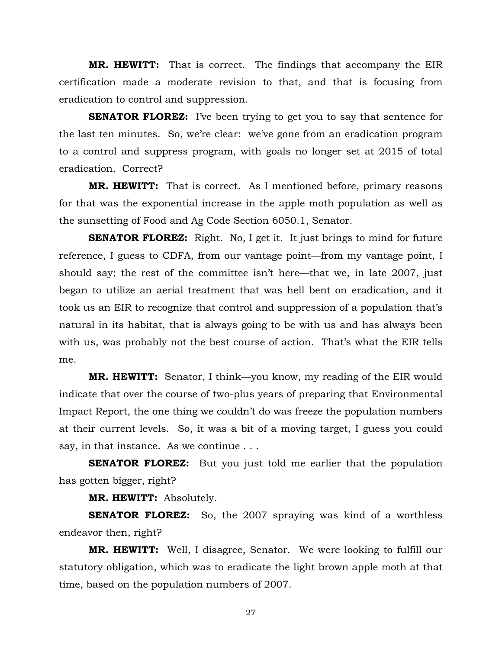**MR. HEWITT:** That is correct. The findings that accompany the EIR certification made a moderate revision to that, and that is focusing from eradication to control and suppression.

**SENATOR FLOREZ:** I've been trying to get you to say that sentence for the last ten minutes. So, we're clear: we've gone from an eradication program to a control and suppress program, with goals no longer set at 2015 of total eradication. Correct?

**MR. HEWITT:** That is correct. As I mentioned before, primary reasons for that was the exponential increase in the apple moth population as well as the sunsetting of Food and Ag Code Section 6050.1, Senator.

**SENATOR FLOREZ:** Right. No, I get it. It just brings to mind for future reference, I guess to CDFA, from our vantage point—from my vantage point, I should say; the rest of the committee isn't here—that we, in late 2007, just began to utilize an aerial treatment that was hell bent on eradication, and it took us an EIR to recognize that control and suppression of a population that's natural in its habitat, that is always going to be with us and has always been with us, was probably not the best course of action. That's what the EIR tells me.

**MR. HEWITT:** Senator, I think—you know, my reading of the EIR would indicate that over the course of two-plus years of preparing that Environmental Impact Report, the one thing we couldn't do was freeze the population numbers at their current levels. So, it was a bit of a moving target, I guess you could say, in that instance. As we continue . . .

**SENATOR FLOREZ:** But you just told me earlier that the population has gotten bigger, right?

**MR. HEWITT:** Absolutely.

**SENATOR FLOREZ:** So, the 2007 spraying was kind of a worthless endeavor then, right?

**MR. HEWITT:** Well, I disagree, Senator. We were looking to fulfill our statutory obligation, which was to eradicate the light brown apple moth at that time, based on the population numbers of 2007.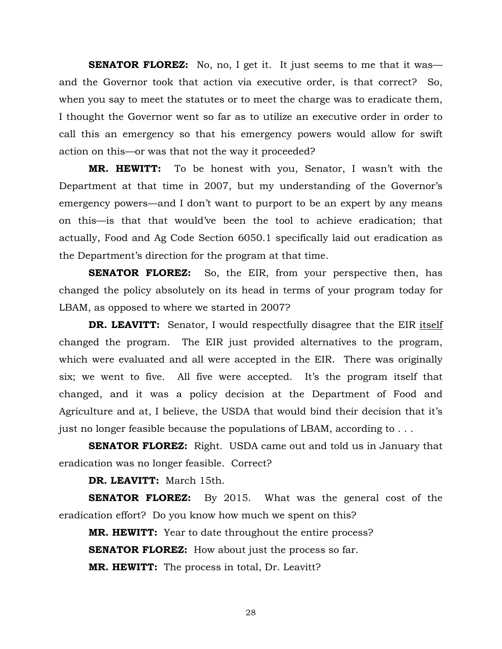**SENATOR FLOREZ:** No, no, I get it. It just seems to me that it was and the Governor took that action via executive order, is that correct? So, when you say to meet the statutes or to meet the charge was to eradicate them, I thought the Governor went so far as to utilize an executive order in order to call this an emergency so that his emergency powers would allow for swift action on this—or was that not the way it proceeded?

**MR. HEWITT:** To be honest with you, Senator, I wasn't with the Department at that time in 2007, but my understanding of the Governor's emergency powers—and I don't want to purport to be an expert by any means on this—is that that would've been the tool to achieve eradication; that actually, Food and Ag Code Section 6050.1 specifically laid out eradication as the Department's direction for the program at that time.

**SENATOR FLOREZ:** So, the EIR, from your perspective then, has changed the policy absolutely on its head in terms of your program today for LBAM, as opposed to where we started in 2007?

**DR. LEAVITT:** Senator, I would respectfully disagree that the EIR itself changed the program. The EIR just provided alternatives to the program, which were evaluated and all were accepted in the EIR. There was originally six; we went to five. All five were accepted. It's the program itself that changed, and it was a policy decision at the Department of Food and Agriculture and at, I believe, the USDA that would bind their decision that it's just no longer feasible because the populations of LBAM, according to . . .

**SENATOR FLOREZ:** Right. USDA came out and told us in January that eradication was no longer feasible. Correct?

**DR. LEAVITT:** March 15th.

**SENATOR FLOREZ:** By 2015. What was the general cost of the eradication effort? Do you know how much we spent on this?

**MR. HEWITT:** Year to date throughout the entire process? **SENATOR FLOREZ:** How about just the process so far. **MR. HEWITT:** The process in total, Dr. Leavitt?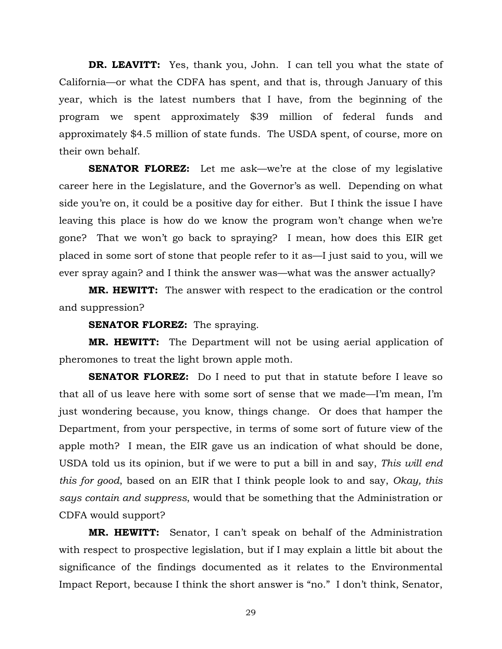**DR. LEAVITT:** Yes, thank you, John. I can tell you what the state of California—or what the CDFA has spent, and that is, through January of this year, which is the latest numbers that I have, from the beginning of the program we spent approximately \$39 million of federal funds and approximately \$4.5 million of state funds. The USDA spent, of course, more on their own behalf.

**SENATOR FLOREZ:** Let me ask—we're at the close of my legislative career here in the Legislature, and the Governor's as well. Depending on what side you're on, it could be a positive day for either. But I think the issue I have leaving this place is how do we know the program won't change when we're gone? That we won't go back to spraying? I mean, how does this EIR get placed in some sort of stone that people refer to it as—I just said to you, will we ever spray again? and I think the answer was—what was the answer actually?

**MR. HEWITT:** The answer with respect to the eradication or the control and suppression?

**SENATOR FLOREZ:** The spraying.

**MR. HEWITT:** The Department will not be using aerial application of pheromones to treat the light brown apple moth.

**SENATOR FLOREZ:** Do I need to put that in statute before I leave so that all of us leave here with some sort of sense that we made—I'm mean, I'm just wondering because, you know, things change. Or does that hamper the Department, from your perspective, in terms of some sort of future view of the apple moth? I mean, the EIR gave us an indication of what should be done, USDA told us its opinion, but if we were to put a bill in and say, *This will end this for good*, based on an EIR that I think people look to and say, *Okay, this says contain and suppress*, would that be something that the Administration or CDFA would support?

**MR. HEWITT:** Senator, I can't speak on behalf of the Administration with respect to prospective legislation, but if I may explain a little bit about the significance of the findings documented as it relates to the Environmental Impact Report, because I think the short answer is "no." I don't think, Senator,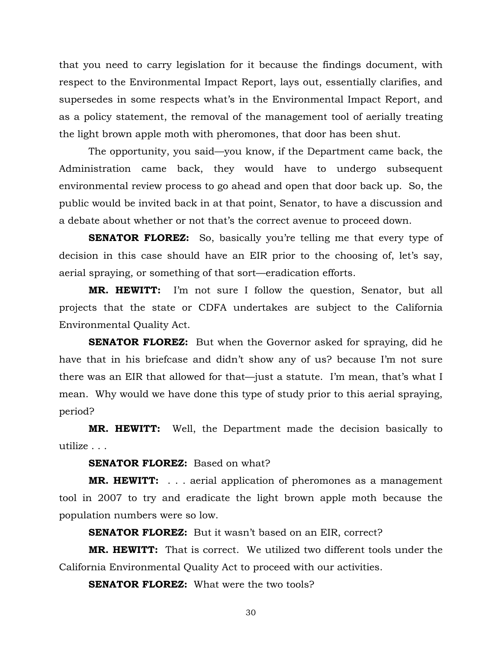that you need to carry legislation for it because the findings document, with respect to the Environmental Impact Report, lays out, essentially clarifies, and supersedes in some respects what's in the Environmental Impact Report, and as a policy statement, the removal of the management tool of aerially treating the light brown apple moth with pheromones, that door has been shut.

 The opportunity, you said—you know, if the Department came back, the Administration came back, they would have to undergo subsequent environmental review process to go ahead and open that door back up. So, the public would be invited back in at that point, Senator, to have a discussion and a debate about whether or not that's the correct avenue to proceed down.

**SENATOR FLOREZ:** So, basically you're telling me that every type of decision in this case should have an EIR prior to the choosing of, let's say, aerial spraying, or something of that sort—eradication efforts.

**MR. HEWITT:** I'm not sure I follow the question, Senator, but all projects that the state or CDFA undertakes are subject to the California Environmental Quality Act.

**SENATOR FLOREZ:** But when the Governor asked for spraying, did he have that in his briefcase and didn't show any of us? because I'm not sure there was an EIR that allowed for that—just a statute. I'm mean, that's what I mean. Why would we have done this type of study prior to this aerial spraying, period?

**MR. HEWITT:** Well, the Department made the decision basically to utilize . . .

**SENATOR FLOREZ:** Based on what?

**MR. HEWITT:** . . . aerial application of pheromones as a management tool in 2007 to try and eradicate the light brown apple moth because the population numbers were so low.

**SENATOR FLOREZ:** But it wasn't based on an EIR, correct?

**MR. HEWITT:** That is correct. We utilized two different tools under the California Environmental Quality Act to proceed with our activities.

**SENATOR FLOREZ:** What were the two tools?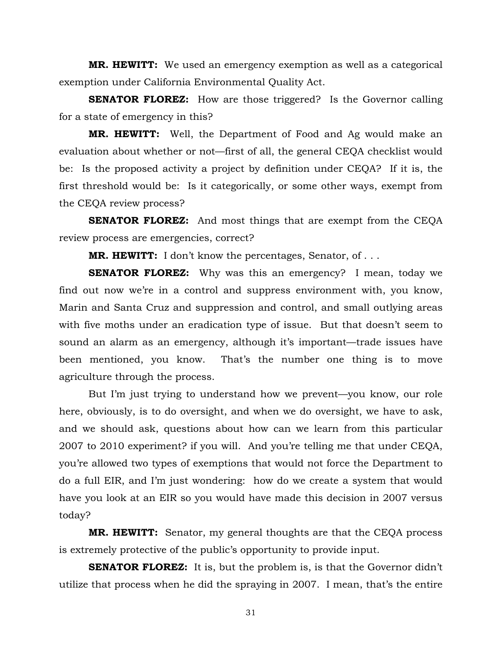**MR. HEWITT:** We used an emergency exemption as well as a categorical exemption under California Environmental Quality Act.

**SENATOR FLOREZ:** How are those triggered? Is the Governor calling for a state of emergency in this?

**MR. HEWITT:** Well, the Department of Food and Ag would make an evaluation about whether or not—first of all, the general CEQA checklist would be: Is the proposed activity a project by definition under CEQA? If it is, the first threshold would be: Is it categorically, or some other ways, exempt from the CEQA review process?

**SENATOR FLOREZ:** And most things that are exempt from the CEQA review process are emergencies, correct?

**MR. HEWITT:** I don't know the percentages, Senator, of . . .

**SENATOR FLOREZ:** Why was this an emergency? I mean, today we find out now we're in a control and suppress environment with, you know, Marin and Santa Cruz and suppression and control, and small outlying areas with five moths under an eradication type of issue. But that doesn't seem to sound an alarm as an emergency, although it's important—trade issues have been mentioned, you know. That's the number one thing is to move agriculture through the process.

 But I'm just trying to understand how we prevent—you know, our role here, obviously, is to do oversight, and when we do oversight, we have to ask, and we should ask, questions about how can we learn from this particular 2007 to 2010 experiment? if you will. And you're telling me that under CEQA, you're allowed two types of exemptions that would not force the Department to do a full EIR, and I'm just wondering: how do we create a system that would have you look at an EIR so you would have made this decision in 2007 versus today?

**MR. HEWITT:** Senator, my general thoughts are that the CEQA process is extremely protective of the public's opportunity to provide input.

**SENATOR FLOREZ:** It is, but the problem is, is that the Governor didn't utilize that process when he did the spraying in 2007. I mean, that's the entire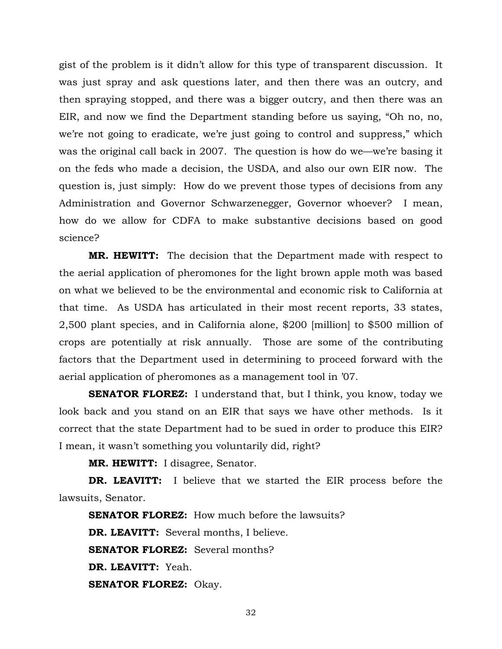gist of the problem is it didn't allow for this type of transparent discussion. It was just spray and ask questions later, and then there was an outcry, and then spraying stopped, and there was a bigger outcry, and then there was an EIR, and now we find the Department standing before us saying, "Oh no, no, we're not going to eradicate, we're just going to control and suppress," which was the original call back in 2007. The question is how do we—we're basing it on the feds who made a decision, the USDA, and also our own EIR now. The question is, just simply: How do we prevent those types of decisions from any Administration and Governor Schwarzenegger, Governor whoever? I mean, how do we allow for CDFA to make substantive decisions based on good science?

**MR. HEWITT:** The decision that the Department made with respect to the aerial application of pheromones for the light brown apple moth was based on what we believed to be the environmental and economic risk to California at that time. As USDA has articulated in their most recent reports, 33 states, 2,500 plant species, and in California alone, \$200 [million] to \$500 million of crops are potentially at risk annually. Those are some of the contributing factors that the Department used in determining to proceed forward with the aerial application of pheromones as a management tool in '07.

**SENATOR FLOREZ:** I understand that, but I think, you know, today we look back and you stand on an EIR that says we have other methods. Is it correct that the state Department had to be sued in order to produce this EIR? I mean, it wasn't something you voluntarily did, right?

**MR. HEWITT:** I disagree, Senator.

**DR. LEAVITT:** I believe that we started the EIR process before the lawsuits, Senator.

**SENATOR FLOREZ:** How much before the lawsuits? **DR. LEAVITT:** Several months, I believe. **SENATOR FLOREZ:** Several months? **DR. LEAVITT:** Yeah. **SENATOR FLOREZ:** Okay.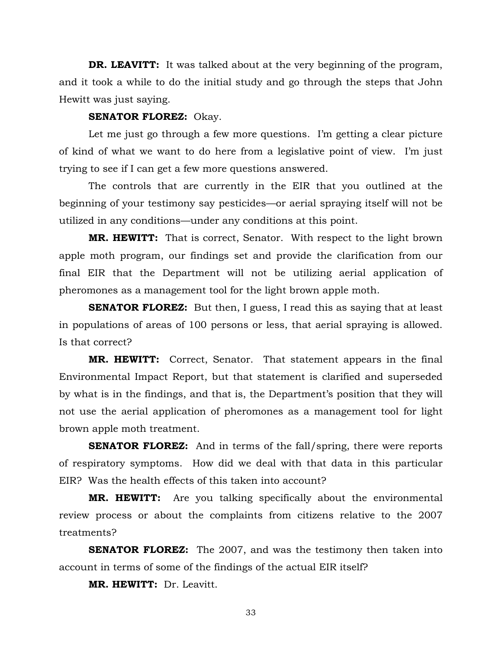**DR. LEAVITT:** It was talked about at the very beginning of the program, and it took a while to do the initial study and go through the steps that John Hewitt was just saying.

### **SENATOR FLOREZ:** Okay.

 Let me just go through a few more questions. I'm getting a clear picture of kind of what we want to do here from a legislative point of view. I'm just trying to see if I can get a few more questions answered.

 The controls that are currently in the EIR that you outlined at the beginning of your testimony say pesticides—or aerial spraying itself will not be utilized in any conditions—under any conditions at this point.

**MR. HEWITT:** That is correct, Senator. With respect to the light brown apple moth program, our findings set and provide the clarification from our final EIR that the Department will not be utilizing aerial application of pheromones as a management tool for the light brown apple moth.

**SENATOR FLOREZ:** But then, I guess, I read this as saying that at least in populations of areas of 100 persons or less, that aerial spraying is allowed. Is that correct?

**MR. HEWITT:** Correct, Senator. That statement appears in the final Environmental Impact Report, but that statement is clarified and superseded by what is in the findings, and that is, the Department's position that they will not use the aerial application of pheromones as a management tool for light brown apple moth treatment.

**SENATOR FLOREZ:** And in terms of the fall/spring, there were reports of respiratory symptoms. How did we deal with that data in this particular EIR? Was the health effects of this taken into account?

**MR. HEWITT:** Are you talking specifically about the environmental review process or about the complaints from citizens relative to the 2007 treatments?

**SENATOR FLOREZ:** The 2007, and was the testimony then taken into account in terms of some of the findings of the actual EIR itself?

**MR. HEWITT:** Dr. Leavitt.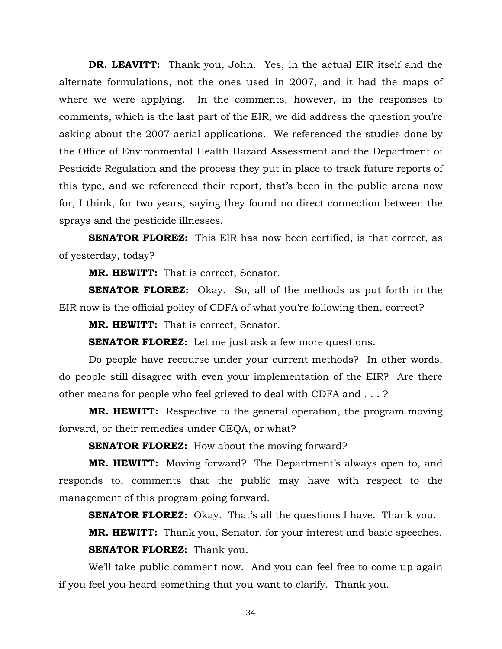**DR. LEAVITT:** Thank you, John. Yes, in the actual EIR itself and the alternate formulations, not the ones used in 2007, and it had the maps of where we were applying. In the comments, however, in the responses to comments, which is the last part of the EIR, we did address the question you're asking about the 2007 aerial applications. We referenced the studies done by the Office of Environmental Health Hazard Assessment and the Department of Pesticide Regulation and the process they put in place to track future reports of this type, and we referenced their report, that's been in the public arena now for, I think, for two years, saying they found no direct connection between the sprays and the pesticide illnesses.

**SENATOR FLOREZ:** This EIR has now been certified, is that correct, as of yesterday, today?

**MR. HEWITT:** That is correct, Senator.

**SENATOR FLOREZ:** Okay. So, all of the methods as put forth in the EIR now is the official policy of CDFA of what you're following then, correct?

**MR. HEWITT:** That is correct, Senator.

**SENATOR FLOREZ:** Let me just ask a few more questions.

 Do people have recourse under your current methods? In other words, do people still disagree with even your implementation of the EIR? Are there other means for people who feel grieved to deal with CDFA and . . . ?

**MR. HEWITT:** Respective to the general operation, the program moving forward, or their remedies under CEQA, or what?

**SENATOR FLOREZ:** How about the moving forward?

**MR. HEWITT:** Moving forward? The Department's always open to, and responds to, comments that the public may have with respect to the management of this program going forward.

**SENATOR FLOREZ:** Okay. That's all the questions I have. Thank you.

**MR. HEWITT:** Thank you, Senator, for your interest and basic speeches. **SENATOR FLOREZ:** Thank you.

 We'll take public comment now. And you can feel free to come up again if you feel you heard something that you want to clarify. Thank you.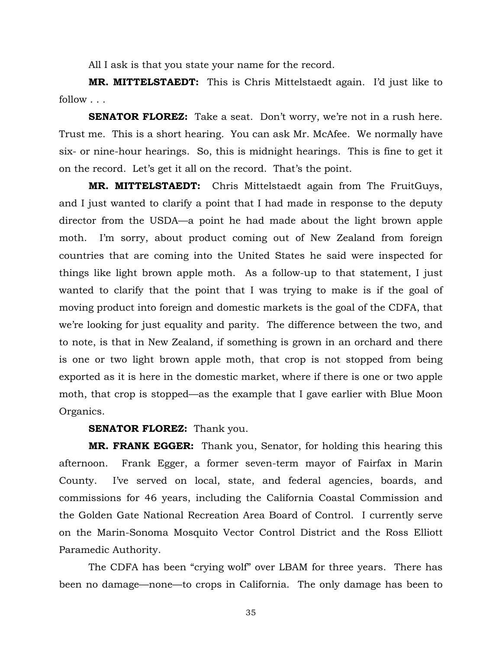All I ask is that you state your name for the record.

**MR. MITTELSTAEDT:** This is Chris Mittelstaedt again. I'd just like to follow . . .

**SENATOR FLOREZ:** Take a seat. Don't worry, we're not in a rush here. Trust me. This is a short hearing. You can ask Mr. McAfee. We normally have six- or nine-hour hearings. So, this is midnight hearings. This is fine to get it on the record. Let's get it all on the record. That's the point.

**MR. MITTELSTAEDT:** Chris Mittelstaedt again from The FruitGuys, and I just wanted to clarify a point that I had made in response to the deputy director from the USDA—a point he had made about the light brown apple moth. I'm sorry, about product coming out of New Zealand from foreign countries that are coming into the United States he said were inspected for things like light brown apple moth. As a follow-up to that statement, I just wanted to clarify that the point that I was trying to make is if the goal of moving product into foreign and domestic markets is the goal of the CDFA, that we're looking for just equality and parity. The difference between the two, and to note, is that in New Zealand, if something is grown in an orchard and there is one or two light brown apple moth, that crop is not stopped from being exported as it is here in the domestic market, where if there is one or two apple moth, that crop is stopped—as the example that I gave earlier with Blue Moon Organics.

**SENATOR FLOREZ:** Thank you.

**MR. FRANK EGGER:** Thank you, Senator, for holding this hearing this afternoon. Frank Egger, a former seven-term mayor of Fairfax in Marin County. I've served on local, state, and federal agencies, boards, and commissions for 46 years, including the California Coastal Commission and the Golden Gate National Recreation Area Board of Control. I currently serve on the Marin-Sonoma Mosquito Vector Control District and the Ross Elliott Paramedic Authority.

 The CDFA has been "crying wolf" over LBAM for three years. There has been no damage—none—to crops in California. The only damage has been to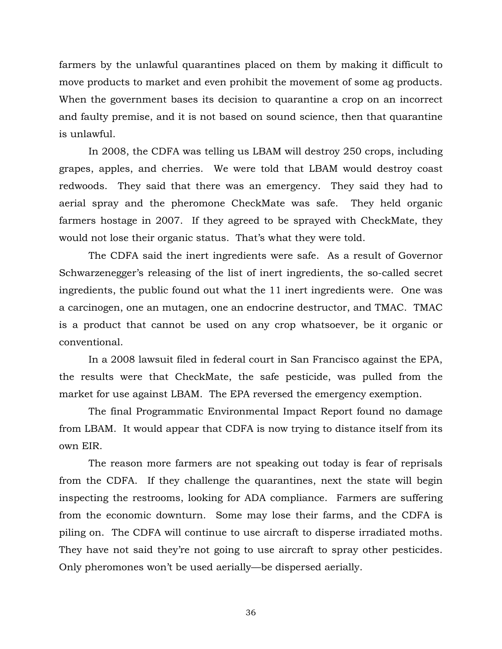farmers by the unlawful quarantines placed on them by making it difficult to move products to market and even prohibit the movement of some ag products. When the government bases its decision to quarantine a crop on an incorrect and faulty premise, and it is not based on sound science, then that quarantine is unlawful.

 In 2008, the CDFA was telling us LBAM will destroy 250 crops, including grapes, apples, and cherries. We were told that LBAM would destroy coast redwoods. They said that there was an emergency. They said they had to aerial spray and the pheromone CheckMate was safe. They held organic farmers hostage in 2007. If they agreed to be sprayed with CheckMate, they would not lose their organic status. That's what they were told.

 The CDFA said the inert ingredients were safe. As a result of Governor Schwarzenegger's releasing of the list of inert ingredients, the so-called secret ingredients, the public found out what the 11 inert ingredients were. One was a carcinogen, one an mutagen, one an endocrine destructor, and TMAC. TMAC is a product that cannot be used on any crop whatsoever, be it organic or conventional.

 In a 2008 lawsuit filed in federal court in San Francisco against the EPA, the results were that CheckMate, the safe pesticide, was pulled from the market for use against LBAM. The EPA reversed the emergency exemption.

 The final Programmatic Environmental Impact Report found no damage from LBAM. It would appear that CDFA is now trying to distance itself from its own EIR.

 The reason more farmers are not speaking out today is fear of reprisals from the CDFA. If they challenge the quarantines, next the state will begin inspecting the restrooms, looking for ADA compliance. Farmers are suffering from the economic downturn. Some may lose their farms, and the CDFA is piling on. The CDFA will continue to use aircraft to disperse irradiated moths. They have not said they're not going to use aircraft to spray other pesticides. Only pheromones won't be used aerially—be dispersed aerially.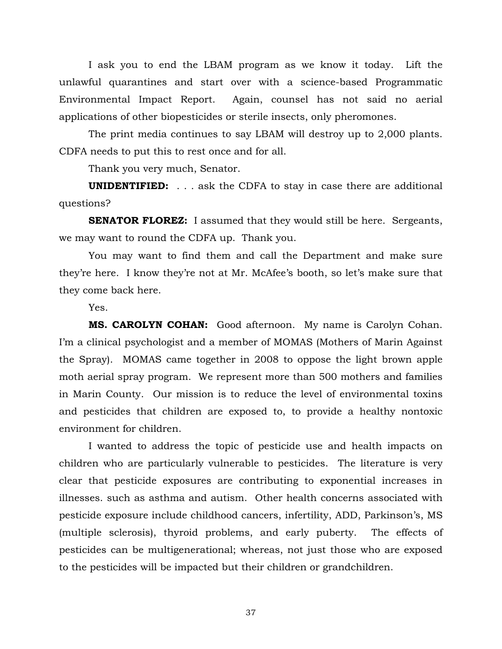I ask you to end the LBAM program as we know it today. Lift the unlawful quarantines and start over with a science-based Programmatic Environmental Impact Report. Again, counsel has not said no aerial applications of other biopesticides or sterile insects, only pheromones.

 The print media continues to say LBAM will destroy up to 2,000 plants. CDFA needs to put this to rest once and for all.

Thank you very much, Senator.

**UNIDENTIFIED:** . . . ask the CDFA to stay in case there are additional questions?

**SENATOR FLOREZ:** I assumed that they would still be here. Sergeants, we may want to round the CDFA up. Thank you.

 You may want to find them and call the Department and make sure they're here. I know they're not at Mr. McAfee's booth, so let's make sure that they come back here.

Yes.

**MS. CAROLYN COHAN:** Good afternoon. My name is Carolyn Cohan. I'm a clinical psychologist and a member of MOMAS (Mothers of Marin Against the Spray). MOMAS came together in 2008 to oppose the light brown apple moth aerial spray program. We represent more than 500 mothers and families in Marin County. Our mission is to reduce the level of environmental toxins and pesticides that children are exposed to, to provide a healthy nontoxic environment for children.

 I wanted to address the topic of pesticide use and health impacts on children who are particularly vulnerable to pesticides. The literature is very clear that pesticide exposures are contributing to exponential increases in illnesses. such as asthma and autism. Other health concerns associated with pesticide exposure include childhood cancers, infertility, ADD, Parkinson's, MS (multiple sclerosis), thyroid problems, and early puberty. The effects of pesticides can be multigenerational; whereas, not just those who are exposed to the pesticides will be impacted but their children or grandchildren.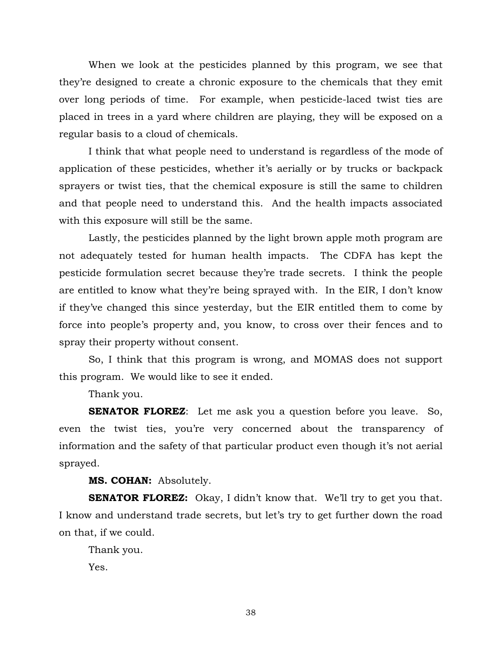When we look at the pesticides planned by this program, we see that they're designed to create a chronic exposure to the chemicals that they emit over long periods of time. For example, when pesticide-laced twist ties are placed in trees in a yard where children are playing, they will be exposed on a regular basis to a cloud of chemicals.

 I think that what people need to understand is regardless of the mode of application of these pesticides, whether it's aerially or by trucks or backpack sprayers or twist ties, that the chemical exposure is still the same to children and that people need to understand this. And the health impacts associated with this exposure will still be the same.

 Lastly, the pesticides planned by the light brown apple moth program are not adequately tested for human health impacts. The CDFA has kept the pesticide formulation secret because they're trade secrets. I think the people are entitled to know what they're being sprayed with. In the EIR, I don't know if they've changed this since yesterday, but the EIR entitled them to come by force into people's property and, you know, to cross over their fences and to spray their property without consent.

 So, I think that this program is wrong, and MOMAS does not support this program. We would like to see it ended.

Thank you.

**SENATOR FLOREZ**: Let me ask you a question before you leave. So, even the twist ties, you're very concerned about the transparency of information and the safety of that particular product even though it's not aerial sprayed.

**MS. COHAN:** Absolutely.

**SENATOR FLOREZ:** Okay, I didn't know that. We'll try to get you that. I know and understand trade secrets, but let's try to get further down the road on that, if we could.

Thank you.

Yes.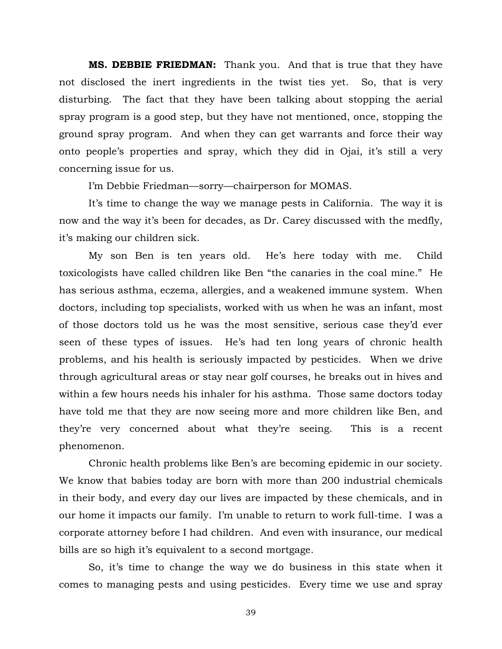**MS. DEBBIE FRIEDMAN:** Thank you. And that is true that they have not disclosed the inert ingredients in the twist ties yet. So, that is very disturbing. The fact that they have been talking about stopping the aerial spray program is a good step, but they have not mentioned, once, stopping the ground spray program. And when they can get warrants and force their way onto people's properties and spray, which they did in Ojai, it's still a very concerning issue for us.

I'm Debbie Friedman—sorry—chairperson for MOMAS.

 It's time to change the way we manage pests in California. The way it is now and the way it's been for decades, as Dr. Carey discussed with the medfly, it's making our children sick.

 My son Ben is ten years old. He's here today with me. Child toxicologists have called children like Ben "the canaries in the coal mine." He has serious asthma, eczema, allergies, and a weakened immune system. When doctors, including top specialists, worked with us when he was an infant, most of those doctors told us he was the most sensitive, serious case they'd ever seen of these types of issues. He's had ten long years of chronic health problems, and his health is seriously impacted by pesticides. When we drive through agricultural areas or stay near golf courses, he breaks out in hives and within a few hours needs his inhaler for his asthma. Those same doctors today have told me that they are now seeing more and more children like Ben, and they're very concerned about what they're seeing. This is a recent phenomenon.

 Chronic health problems like Ben's are becoming epidemic in our society. We know that babies today are born with more than 200 industrial chemicals in their body, and every day our lives are impacted by these chemicals, and in our home it impacts our family. I'm unable to return to work full-time. I was a corporate attorney before I had children. And even with insurance, our medical bills are so high it's equivalent to a second mortgage.

 So, it's time to change the way we do business in this state when it comes to managing pests and using pesticides. Every time we use and spray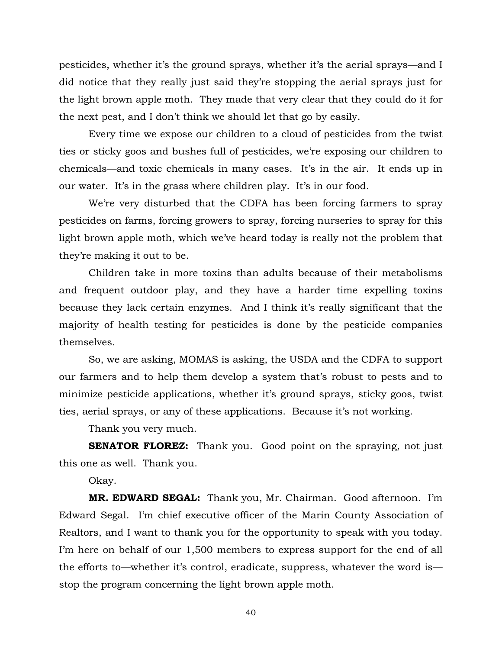pesticides, whether it's the ground sprays, whether it's the aerial sprays—and I did notice that they really just said they're stopping the aerial sprays just for the light brown apple moth. They made that very clear that they could do it for the next pest, and I don't think we should let that go by easily.

 Every time we expose our children to a cloud of pesticides from the twist ties or sticky goos and bushes full of pesticides, we're exposing our children to chemicals—and toxic chemicals in many cases. It's in the air. It ends up in our water. It's in the grass where children play. It's in our food.

 We're very disturbed that the CDFA has been forcing farmers to spray pesticides on farms, forcing growers to spray, forcing nurseries to spray for this light brown apple moth, which we've heard today is really not the problem that they're making it out to be.

 Children take in more toxins than adults because of their metabolisms and frequent outdoor play, and they have a harder time expelling toxins because they lack certain enzymes. And I think it's really significant that the majority of health testing for pesticides is done by the pesticide companies themselves.

 So, we are asking, MOMAS is asking, the USDA and the CDFA to support our farmers and to help them develop a system that's robust to pests and to minimize pesticide applications, whether it's ground sprays, sticky goos, twist ties, aerial sprays, or any of these applications. Because it's not working.

Thank you very much.

**SENATOR FLOREZ:** Thank you. Good point on the spraying, not just this one as well. Thank you.

Okay.

 **MR. EDWARD SEGAL:** Thank you, Mr. Chairman. Good afternoon. I'm Edward Segal. I'm chief executive officer of the Marin County Association of Realtors, and I want to thank you for the opportunity to speak with you today. I'm here on behalf of our 1,500 members to express support for the end of all the efforts to—whether it's control, eradicate, suppress, whatever the word is stop the program concerning the light brown apple moth.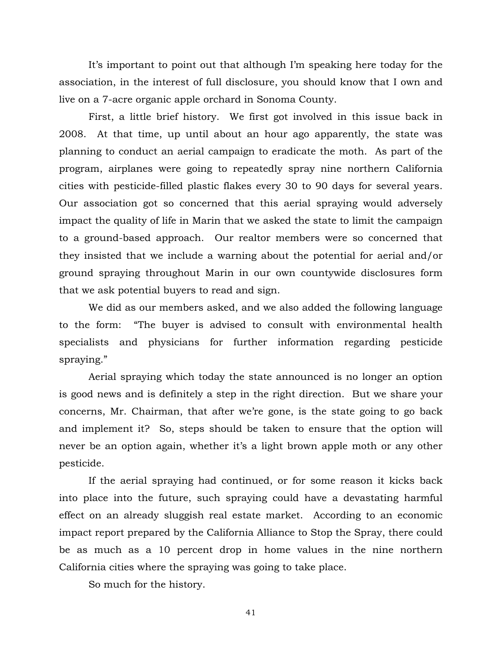It's important to point out that although I'm speaking here today for the association, in the interest of full disclosure, you should know that I own and live on a 7-acre organic apple orchard in Sonoma County.

 First, a little brief history. We first got involved in this issue back in 2008. At that time, up until about an hour ago apparently, the state was planning to conduct an aerial campaign to eradicate the moth. As part of the program, airplanes were going to repeatedly spray nine northern California cities with pesticide-filled plastic flakes every 30 to 90 days for several years. Our association got so concerned that this aerial spraying would adversely impact the quality of life in Marin that we asked the state to limit the campaign to a ground-based approach. Our realtor members were so concerned that they insisted that we include a warning about the potential for aerial and/or ground spraying throughout Marin in our own countywide disclosures form that we ask potential buyers to read and sign.

 We did as our members asked, and we also added the following language to the form: "The buyer is advised to consult with environmental health specialists and physicians for further information regarding pesticide spraying."

 Aerial spraying which today the state announced is no longer an option is good news and is definitely a step in the right direction. But we share your concerns, Mr. Chairman, that after we're gone, is the state going to go back and implement it? So, steps should be taken to ensure that the option will never be an option again, whether it's a light brown apple moth or any other pesticide.

 If the aerial spraying had continued, or for some reason it kicks back into place into the future, such spraying could have a devastating harmful effect on an already sluggish real estate market. According to an economic impact report prepared by the California Alliance to Stop the Spray, there could be as much as a 10 percent drop in home values in the nine northern California cities where the spraying was going to take place.

So much for the history.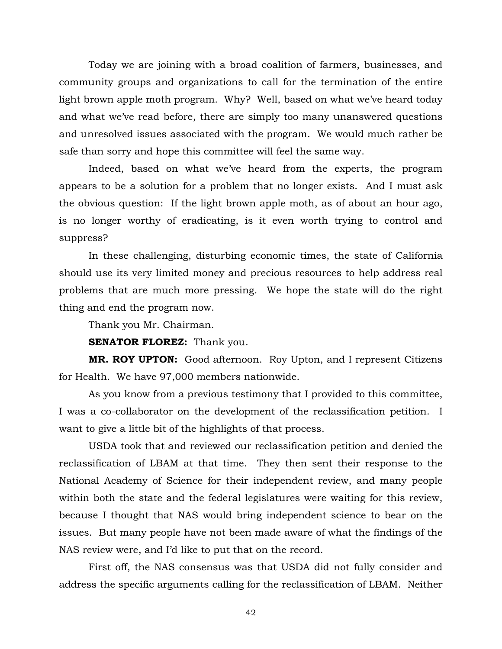Today we are joining with a broad coalition of farmers, businesses, and community groups and organizations to call for the termination of the entire light brown apple moth program. Why? Well, based on what we've heard today and what we've read before, there are simply too many unanswered questions and unresolved issues associated with the program. We would much rather be safe than sorry and hope this committee will feel the same way.

 Indeed, based on what we've heard from the experts, the program appears to be a solution for a problem that no longer exists. And I must ask the obvious question: If the light brown apple moth, as of about an hour ago, is no longer worthy of eradicating, is it even worth trying to control and suppress?

 In these challenging, disturbing economic times, the state of California should use its very limited money and precious resources to help address real problems that are much more pressing. We hope the state will do the right thing and end the program now.

Thank you Mr. Chairman.

**SENATOR FLOREZ:** Thank you.

 **MR. ROY UPTON:** Good afternoon. Roy Upton, and I represent Citizens for Health. We have 97,000 members nationwide.

 As you know from a previous testimony that I provided to this committee, I was a co-collaborator on the development of the reclassification petition. I want to give a little bit of the highlights of that process.

 USDA took that and reviewed our reclassification petition and denied the reclassification of LBAM at that time. They then sent their response to the National Academy of Science for their independent review, and many people within both the state and the federal legislatures were waiting for this review, because I thought that NAS would bring independent science to bear on the issues. But many people have not been made aware of what the findings of the NAS review were, and I'd like to put that on the record.

 First off, the NAS consensus was that USDA did not fully consider and address the specific arguments calling for the reclassification of LBAM. Neither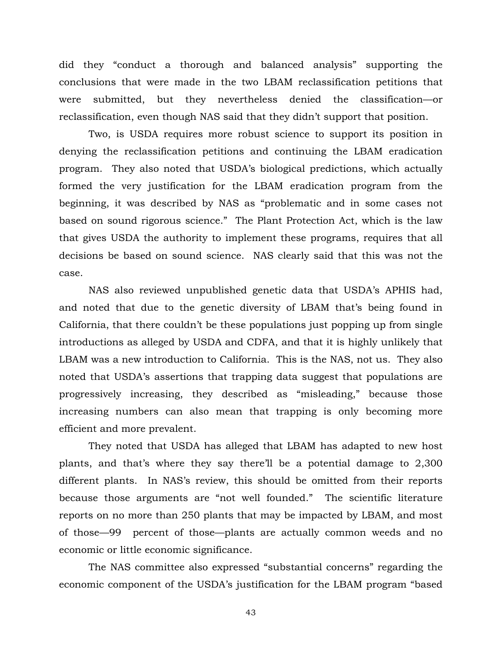did they "conduct a thorough and balanced analysis" supporting the conclusions that were made in the two LBAM reclassification petitions that were submitted, but they nevertheless denied the classification—or reclassification, even though NAS said that they didn't support that position.

 Two, is USDA requires more robust science to support its position in denying the reclassification petitions and continuing the LBAM eradication program. They also noted that USDA's biological predictions, which actually formed the very justification for the LBAM eradication program from the beginning, it was described by NAS as "problematic and in some cases not based on sound rigorous science." The Plant Protection Act, which is the law that gives USDA the authority to implement these programs, requires that all decisions be based on sound science. NAS clearly said that this was not the case.

 NAS also reviewed unpublished genetic data that USDA's APHIS had, and noted that due to the genetic diversity of LBAM that's being found in California, that there couldn't be these populations just popping up from single introductions as alleged by USDA and CDFA, and that it is highly unlikely that LBAM was a new introduction to California. This is the NAS, not us. They also noted that USDA's assertions that trapping data suggest that populations are progressively increasing, they described as "misleading," because those increasing numbers can also mean that trapping is only becoming more efficient and more prevalent.

 They noted that USDA has alleged that LBAM has adapted to new host plants, and that's where they say there'll be a potential damage to 2,300 different plants. In NAS's review, this should be omitted from their reports because those arguments are "not well founded." The scientific literature reports on no more than 250 plants that may be impacted by LBAM, and most of those—99 percent of those—plants are actually common weeds and no economic or little economic significance.

 The NAS committee also expressed "substantial concerns" regarding the economic component of the USDA's justification for the LBAM program "based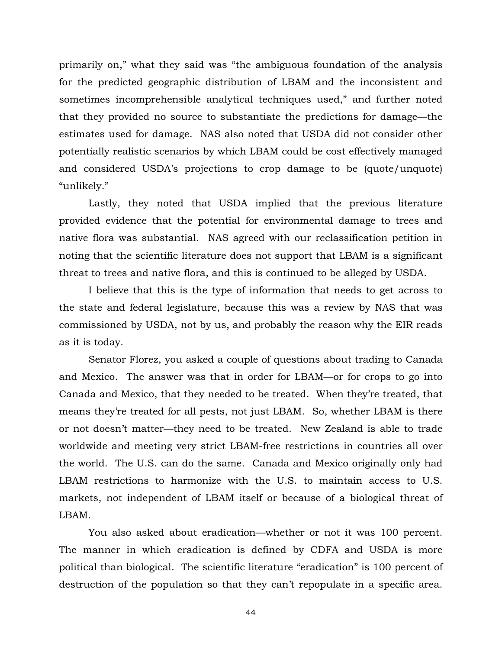primarily on," what they said was "the ambiguous foundation of the analysis for the predicted geographic distribution of LBAM and the inconsistent and sometimes incomprehensible analytical techniques used," and further noted that they provided no source to substantiate the predictions for damage—the estimates used for damage. NAS also noted that USDA did not consider other potentially realistic scenarios by which LBAM could be cost effectively managed and considered USDA's projections to crop damage to be (quote/unquote) "unlikely."

 Lastly, they noted that USDA implied that the previous literature provided evidence that the potential for environmental damage to trees and native flora was substantial. NAS agreed with our reclassification petition in noting that the scientific literature does not support that LBAM is a significant threat to trees and native flora, and this is continued to be alleged by USDA.

 I believe that this is the type of information that needs to get across to the state and federal legislature, because this was a review by NAS that was commissioned by USDA, not by us, and probably the reason why the EIR reads as it is today.

 Senator Florez, you asked a couple of questions about trading to Canada and Mexico. The answer was that in order for LBAM—or for crops to go into Canada and Mexico, that they needed to be treated. When they're treated, that means they're treated for all pests, not just LBAM. So, whether LBAM is there or not doesn't matter—they need to be treated. New Zealand is able to trade worldwide and meeting very strict LBAM-free restrictions in countries all over the world. The U.S. can do the same. Canada and Mexico originally only had LBAM restrictions to harmonize with the U.S. to maintain access to U.S. markets, not independent of LBAM itself or because of a biological threat of LBAM.

 You also asked about eradication—whether or not it was 100 percent. The manner in which eradication is defined by CDFA and USDA is more political than biological. The scientific literature "eradication" is 100 percent of destruction of the population so that they can't repopulate in a specific area.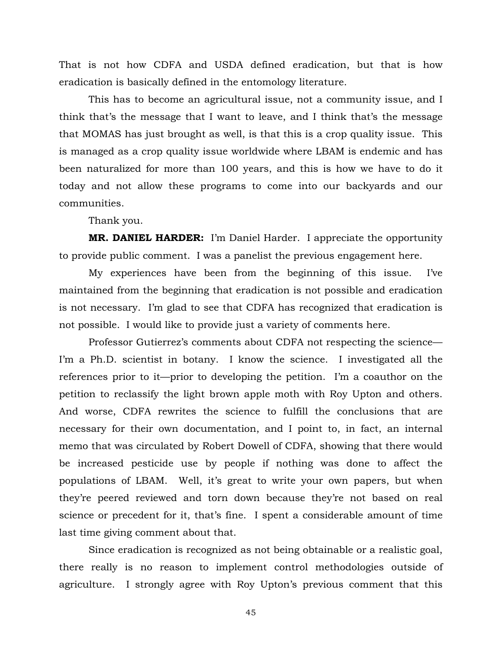That is not how CDFA and USDA defined eradication, but that is how eradication is basically defined in the entomology literature.

 This has to become an agricultural issue, not a community issue, and I think that's the message that I want to leave, and I think that's the message that MOMAS has just brought as well, is that this is a crop quality issue. This is managed as a crop quality issue worldwide where LBAM is endemic and has been naturalized for more than 100 years, and this is how we have to do it today and not allow these programs to come into our backyards and our communities.

Thank you.

 **MR. DANIEL HARDER:** I'm Daniel Harder. I appreciate the opportunity to provide public comment. I was a panelist the previous engagement here.

 My experiences have been from the beginning of this issue. I've maintained from the beginning that eradication is not possible and eradication is not necessary. I'm glad to see that CDFA has recognized that eradication is not possible. I would like to provide just a variety of comments here.

 Professor Gutierrez's comments about CDFA not respecting the science— I'm a Ph.D. scientist in botany. I know the science. I investigated all the references prior to it—prior to developing the petition. I'm a coauthor on the petition to reclassify the light brown apple moth with Roy Upton and others. And worse, CDFA rewrites the science to fulfill the conclusions that are necessary for their own documentation, and I point to, in fact, an internal memo that was circulated by Robert Dowell of CDFA, showing that there would be increased pesticide use by people if nothing was done to affect the populations of LBAM. Well, it's great to write your own papers, but when they're peered reviewed and torn down because they're not based on real science or precedent for it, that's fine. I spent a considerable amount of time last time giving comment about that.

 Since eradication is recognized as not being obtainable or a realistic goal, there really is no reason to implement control methodologies outside of agriculture. I strongly agree with Roy Upton's previous comment that this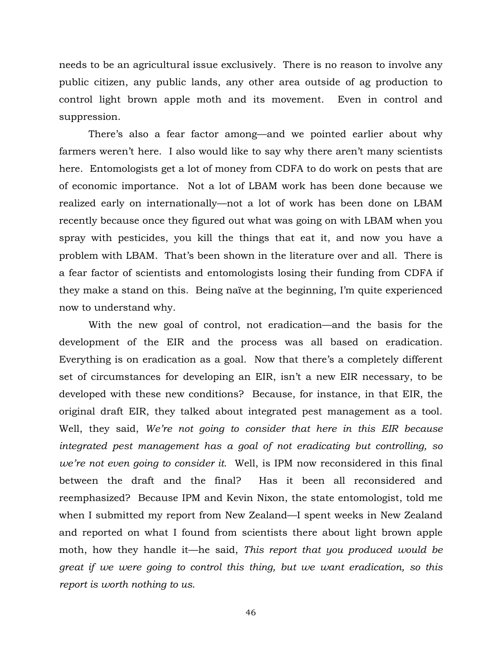needs to be an agricultural issue exclusively. There is no reason to involve any public citizen, any public lands, any other area outside of ag production to control light brown apple moth and its movement. Even in control and suppression.

 There's also a fear factor among—and we pointed earlier about why farmers weren't here. I also would like to say why there aren't many scientists here. Entomologists get a lot of money from CDFA to do work on pests that are of economic importance. Not a lot of LBAM work has been done because we realized early on internationally—not a lot of work has been done on LBAM recently because once they figured out what was going on with LBAM when you spray with pesticides, you kill the things that eat it, and now you have a problem with LBAM. That's been shown in the literature over and all. There is a fear factor of scientists and entomologists losing their funding from CDFA if they make a stand on this. Being naïve at the beginning, I'm quite experienced now to understand why.

 With the new goal of control, not eradication—and the basis for the development of the EIR and the process was all based on eradication. Everything is on eradication as a goal. Now that there's a completely different set of circumstances for developing an EIR, isn't a new EIR necessary, to be developed with these new conditions? Because, for instance, in that EIR, the original draft EIR, they talked about integrated pest management as a tool. Well, they said, *We're not going to consider that here in this EIR because integrated pest management has a goal of not eradicating but controlling, so we're not even going to consider it*. Well, is IPM now reconsidered in this final between the draft and the final? Has it been all reconsidered and reemphasized? Because IPM and Kevin Nixon, the state entomologist, told me when I submitted my report from New Zealand—I spent weeks in New Zealand and reported on what I found from scientists there about light brown apple moth, how they handle it—he said, *This report that you produced would be great if we were going to control this thing, but we want eradication, so this report is worth nothing to us*.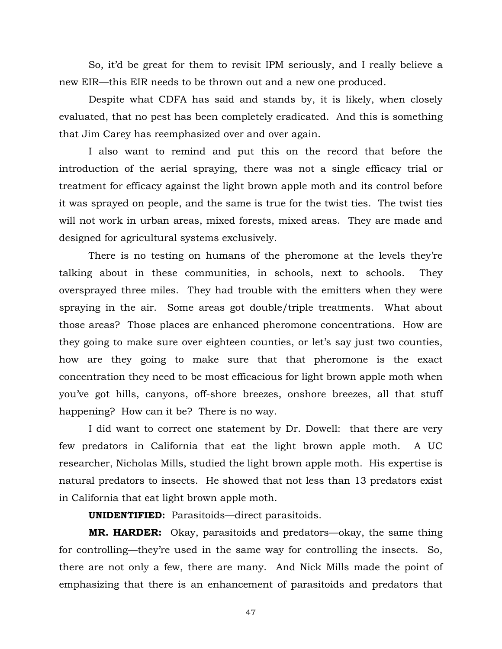So, it'd be great for them to revisit IPM seriously, and I really believe a new EIR—this EIR needs to be thrown out and a new one produced.

 Despite what CDFA has said and stands by, it is likely, when closely evaluated, that no pest has been completely eradicated. And this is something that Jim Carey has reemphasized over and over again.

 I also want to remind and put this on the record that before the introduction of the aerial spraying, there was not a single efficacy trial or treatment for efficacy against the light brown apple moth and its control before it was sprayed on people, and the same is true for the twist ties. The twist ties will not work in urban areas, mixed forests, mixed areas. They are made and designed for agricultural systems exclusively.

 There is no testing on humans of the pheromone at the levels they're talking about in these communities, in schools, next to schools. They oversprayed three miles. They had trouble with the emitters when they were spraying in the air. Some areas got double/triple treatments. What about those areas? Those places are enhanced pheromone concentrations. How are they going to make sure over eighteen counties, or let's say just two counties, how are they going to make sure that that pheromone is the exact concentration they need to be most efficacious for light brown apple moth when you've got hills, canyons, off-shore breezes, onshore breezes, all that stuff happening? How can it be? There is no way.

 I did want to correct one statement by Dr. Dowell: that there are very few predators in California that eat the light brown apple moth. A UC researcher, Nicholas Mills, studied the light brown apple moth. His expertise is natural predators to insects. He showed that not less than 13 predators exist in California that eat light brown apple moth.

**UNIDENTIFIED:** Parasitoids—direct parasitoids.

**MR. HARDER:** Okay, parasitoids and predators—okay, the same thing for controlling—they're used in the same way for controlling the insects. So, there are not only a few, there are many. And Nick Mills made the point of emphasizing that there is an enhancement of parasitoids and predators that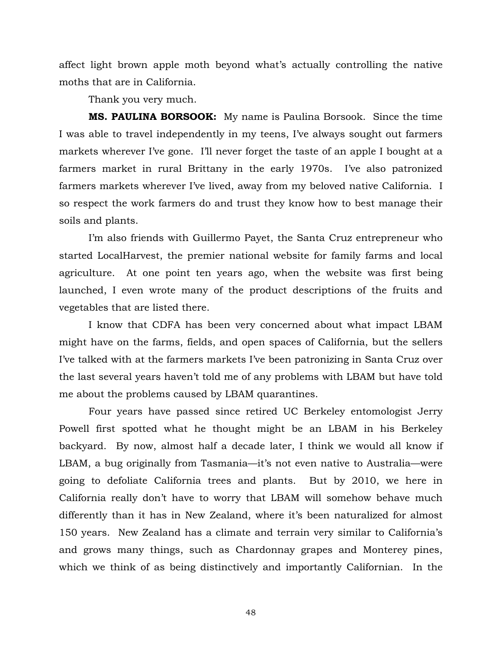affect light brown apple moth beyond what's actually controlling the native moths that are in California.

Thank you very much.

 **MS. PAULINA BORSOOK:** My name is Paulina Borsook. Since the time I was able to travel independently in my teens, I've always sought out farmers markets wherever I've gone. I'll never forget the taste of an apple I bought at a farmers market in rural Brittany in the early 1970s. I've also patronized farmers markets wherever I've lived, away from my beloved native California. I so respect the work farmers do and trust they know how to best manage their soils and plants.

 I'm also friends with Guillermo Payet, the Santa Cruz entrepreneur who started LocalHarvest, the premier national website for family farms and local agriculture. At one point ten years ago, when the website was first being launched, I even wrote many of the product descriptions of the fruits and vegetables that are listed there.

 I know that CDFA has been very concerned about what impact LBAM might have on the farms, fields, and open spaces of California, but the sellers I've talked with at the farmers markets I've been patronizing in Santa Cruz over the last several years haven't told me of any problems with LBAM but have told me about the problems caused by LBAM quarantines.

 Four years have passed since retired UC Berkeley entomologist Jerry Powell first spotted what he thought might be an LBAM in his Berkeley backyard. By now, almost half a decade later, I think we would all know if LBAM, a bug originally from Tasmania—it's not even native to Australia—were going to defoliate California trees and plants. But by 2010, we here in California really don't have to worry that LBAM will somehow behave much differently than it has in New Zealand, where it's been naturalized for almost 150 years. New Zealand has a climate and terrain very similar to California's and grows many things, such as Chardonnay grapes and Monterey pines, which we think of as being distinctively and importantly Californian. In the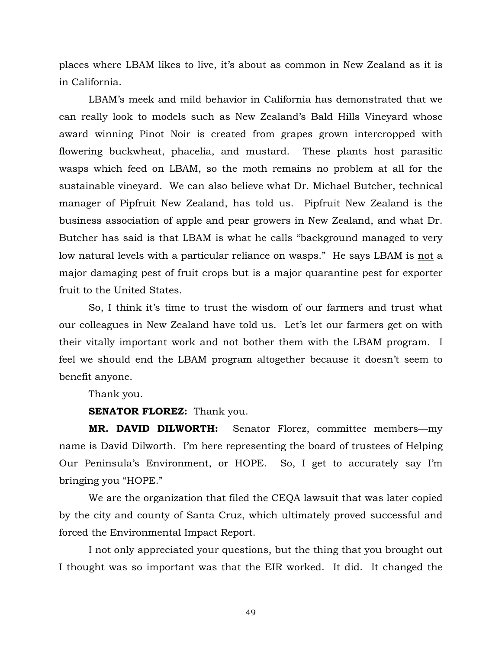places where LBAM likes to live, it's about as common in New Zealand as it is in California.

 LBAM's meek and mild behavior in California has demonstrated that we can really look to models such as New Zealand's Bald Hills Vineyard whose award winning Pinot Noir is created from grapes grown intercropped with flowering buckwheat, phacelia, and mustard. These plants host parasitic wasps which feed on LBAM, so the moth remains no problem at all for the sustainable vineyard. We can also believe what Dr. Michael Butcher, technical manager of Pipfruit New Zealand, has told us. Pipfruit New Zealand is the business association of apple and pear growers in New Zealand, and what Dr. Butcher has said is that LBAM is what he calls "background managed to very low natural levels with a particular reliance on wasps." He says LBAM is not a major damaging pest of fruit crops but is a major quarantine pest for exporter fruit to the United States.

 So, I think it's time to trust the wisdom of our farmers and trust what our colleagues in New Zealand have told us. Let's let our farmers get on with their vitally important work and not bother them with the LBAM program. I feel we should end the LBAM program altogether because it doesn't seem to benefit anyone.

Thank you.

**SENATOR FLOREZ:** Thank you.

 **MR. DAVID DILWORTH:** Senator Florez, committee members—my name is David Dilworth. I'm here representing the board of trustees of Helping Our Peninsula's Environment, or HOPE. So, I get to accurately say I'm bringing you "HOPE."

 We are the organization that filed the CEQA lawsuit that was later copied by the city and county of Santa Cruz, which ultimately proved successful and forced the Environmental Impact Report.

 I not only appreciated your questions, but the thing that you brought out I thought was so important was that the EIR worked. It did. It changed the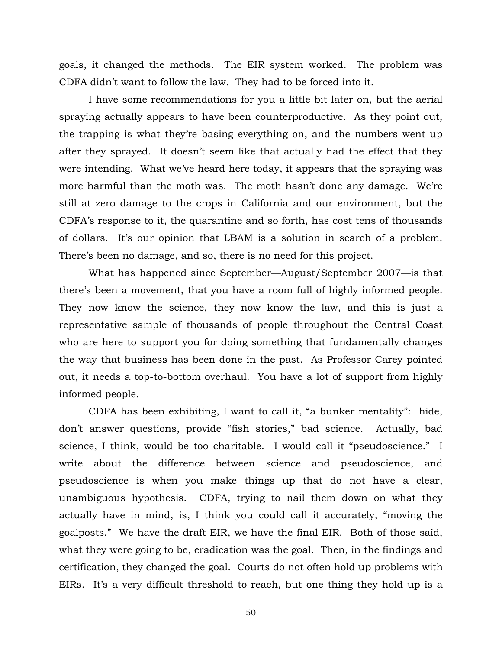goals, it changed the methods. The EIR system worked. The problem was CDFA didn't want to follow the law. They had to be forced into it.

 I have some recommendations for you a little bit later on, but the aerial spraying actually appears to have been counterproductive. As they point out, the trapping is what they're basing everything on, and the numbers went up after they sprayed. It doesn't seem like that actually had the effect that they were intending. What we've heard here today, it appears that the spraying was more harmful than the moth was. The moth hasn't done any damage. We're still at zero damage to the crops in California and our environment, but the CDFA's response to it, the quarantine and so forth, has cost tens of thousands of dollars. It's our opinion that LBAM is a solution in search of a problem. There's been no damage, and so, there is no need for this project.

 What has happened since September—August/September 2007—is that there's been a movement, that you have a room full of highly informed people. They now know the science, they now know the law, and this is just a representative sample of thousands of people throughout the Central Coast who are here to support you for doing something that fundamentally changes the way that business has been done in the past. As Professor Carey pointed out, it needs a top-to-bottom overhaul. You have a lot of support from highly informed people.

 CDFA has been exhibiting, I want to call it, "a bunker mentality": hide, don't answer questions, provide "fish stories," bad science. Actually, bad science, I think, would be too charitable. I would call it "pseudoscience." I write about the difference between science and pseudoscience, and pseudoscience is when you make things up that do not have a clear, unambiguous hypothesis. CDFA, trying to nail them down on what they actually have in mind, is, I think you could call it accurately, "moving the goalposts." We have the draft EIR, we have the final EIR. Both of those said, what they were going to be, eradication was the goal. Then, in the findings and certification, they changed the goal. Courts do not often hold up problems with EIRs. It's a very difficult threshold to reach, but one thing they hold up is a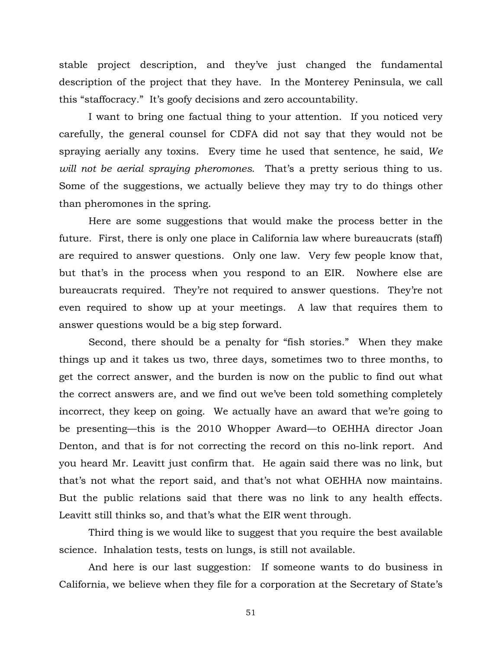stable project description, and they've just changed the fundamental description of the project that they have. In the Monterey Peninsula, we call this "staffocracy." It's goofy decisions and zero accountability.

 I want to bring one factual thing to your attention. If you noticed very carefully, the general counsel for CDFA did not say that they would not be spraying aerially any toxins. Every time he used that sentence, he said, *We will not be aerial spraying pheromones*. That's a pretty serious thing to us. Some of the suggestions, we actually believe they may try to do things other than pheromones in the spring.

 Here are some suggestions that would make the process better in the future. First, there is only one place in California law where bureaucrats (staff) are required to answer questions. Only one law. Very few people know that, but that's in the process when you respond to an EIR. Nowhere else are bureaucrats required. They're not required to answer questions. They're not even required to show up at your meetings. A law that requires them to answer questions would be a big step forward.

 Second, there should be a penalty for "fish stories." When they make things up and it takes us two, three days, sometimes two to three months, to get the correct answer, and the burden is now on the public to find out what the correct answers are, and we find out we've been told something completely incorrect, they keep on going. We actually have an award that we're going to be presenting—this is the 2010 Whopper Award—to OEHHA director Joan Denton, and that is for not correcting the record on this no-link report. And you heard Mr. Leavitt just confirm that. He again said there was no link, but that's not what the report said, and that's not what OEHHA now maintains. But the public relations said that there was no link to any health effects. Leavitt still thinks so, and that's what the EIR went through.

 Third thing is we would like to suggest that you require the best available science. Inhalation tests, tests on lungs, is still not available.

 And here is our last suggestion: If someone wants to do business in California, we believe when they file for a corporation at the Secretary of State's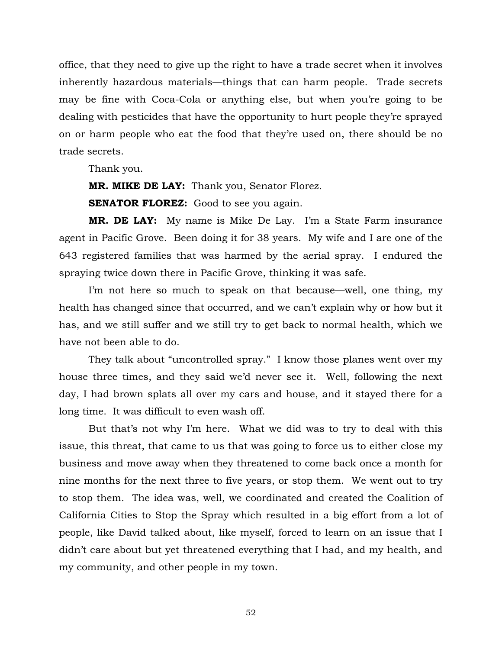office, that they need to give up the right to have a trade secret when it involves inherently hazardous materials—things that can harm people. Trade secrets may be fine with Coca-Cola or anything else, but when you're going to be dealing with pesticides that have the opportunity to hurt people they're sprayed on or harm people who eat the food that they're used on, there should be no trade secrets.

Thank you.

 **MR. MIKE DE LAY:** Thank you, Senator Florez.

**SENATOR FLOREZ:** Good to see you again.

 **MR. DE LAY:** My name is Mike De Lay. I'm a State Farm insurance agent in Pacific Grove. Been doing it for 38 years. My wife and I are one of the 643 registered families that was harmed by the aerial spray. I endured the spraying twice down there in Pacific Grove, thinking it was safe.

 I'm not here so much to speak on that because—well, one thing, my health has changed since that occurred, and we can't explain why or how but it has, and we still suffer and we still try to get back to normal health, which we have not been able to do.

 They talk about "uncontrolled spray." I know those planes went over my house three times, and they said we'd never see it. Well, following the next day, I had brown splats all over my cars and house, and it stayed there for a long time. It was difficult to even wash off.

 But that's not why I'm here. What we did was to try to deal with this issue, this threat, that came to us that was going to force us to either close my business and move away when they threatened to come back once a month for nine months for the next three to five years, or stop them. We went out to try to stop them. The idea was, well, we coordinated and created the Coalition of California Cities to Stop the Spray which resulted in a big effort from a lot of people, like David talked about, like myself, forced to learn on an issue that I didn't care about but yet threatened everything that I had, and my health, and my community, and other people in my town.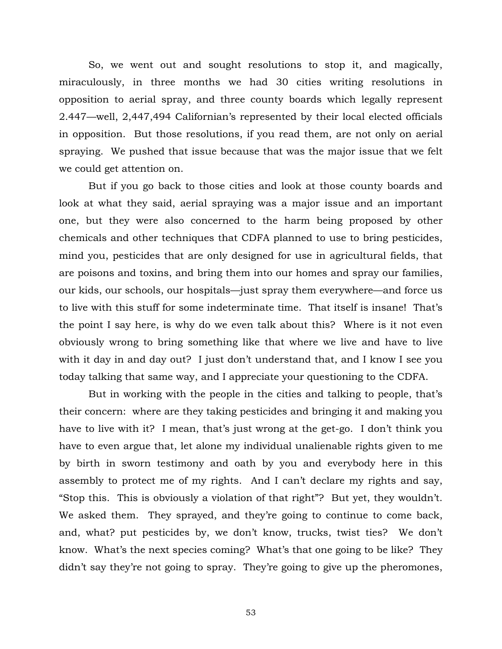So, we went out and sought resolutions to stop it, and magically, miraculously, in three months we had 30 cities writing resolutions in opposition to aerial spray, and three county boards which legally represent 2.447—well, 2,447,494 Californian's represented by their local elected officials in opposition. But those resolutions, if you read them, are not only on aerial spraying. We pushed that issue because that was the major issue that we felt we could get attention on.

 But if you go back to those cities and look at those county boards and look at what they said, aerial spraying was a major issue and an important one, but they were also concerned to the harm being proposed by other chemicals and other techniques that CDFA planned to use to bring pesticides, mind you, pesticides that are only designed for use in agricultural fields, that are poisons and toxins, and bring them into our homes and spray our families, our kids, our schools, our hospitals—just spray them everywhere—and force us to live with this stuff for some indeterminate time. That itself is insane! That's the point I say here, is why do we even talk about this? Where is it not even obviously wrong to bring something like that where we live and have to live with it day in and day out? I just don't understand that, and I know I see you today talking that same way, and I appreciate your questioning to the CDFA.

 But in working with the people in the cities and talking to people, that's their concern: where are they taking pesticides and bringing it and making you have to live with it? I mean, that's just wrong at the get-go. I don't think you have to even argue that, let alone my individual unalienable rights given to me by birth in sworn testimony and oath by you and everybody here in this assembly to protect me of my rights. And I can't declare my rights and say, "Stop this. This is obviously a violation of that right"? But yet, they wouldn't. We asked them. They sprayed, and they're going to continue to come back, and, what? put pesticides by, we don't know, trucks, twist ties? We don't know. What's the next species coming? What's that one going to be like? They didn't say they're not going to spray. They're going to give up the pheromones,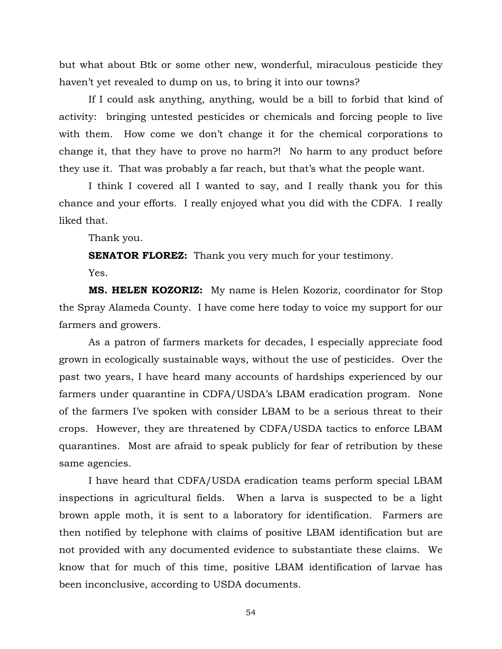but what about Btk or some other new, wonderful, miraculous pesticide they haven't yet revealed to dump on us, to bring it into our towns?

 If I could ask anything, anything, would be a bill to forbid that kind of activity: bringing untested pesticides or chemicals and forcing people to live with them. How come we don't change it for the chemical corporations to change it, that they have to prove no harm?! No harm to any product before they use it. That was probably a far reach, but that's what the people want.

 I think I covered all I wanted to say, and I really thank you for this chance and your efforts. I really enjoyed what you did with the CDFA. I really liked that.

Thank you.

**SENATOR FLOREZ:** Thank you very much for your testimony.

Yes.

 **MS. HELEN KOZORIZ:** My name is Helen Kozoriz, coordinator for Stop the Spray Alameda County. I have come here today to voice my support for our farmers and growers.

 As a patron of farmers markets for decades, I especially appreciate food grown in ecologically sustainable ways, without the use of pesticides. Over the past two years, I have heard many accounts of hardships experienced by our farmers under quarantine in CDFA/USDA's LBAM eradication program. None of the farmers I've spoken with consider LBAM to be a serious threat to their crops. However, they are threatened by CDFA/USDA tactics to enforce LBAM quarantines. Most are afraid to speak publicly for fear of retribution by these same agencies.

 I have heard that CDFA/USDA eradication teams perform special LBAM inspections in agricultural fields. When a larva is suspected to be a light brown apple moth, it is sent to a laboratory for identification. Farmers are then notified by telephone with claims of positive LBAM identification but are not provided with any documented evidence to substantiate these claims. We know that for much of this time, positive LBAM identification of larvae has been inconclusive, according to USDA documents.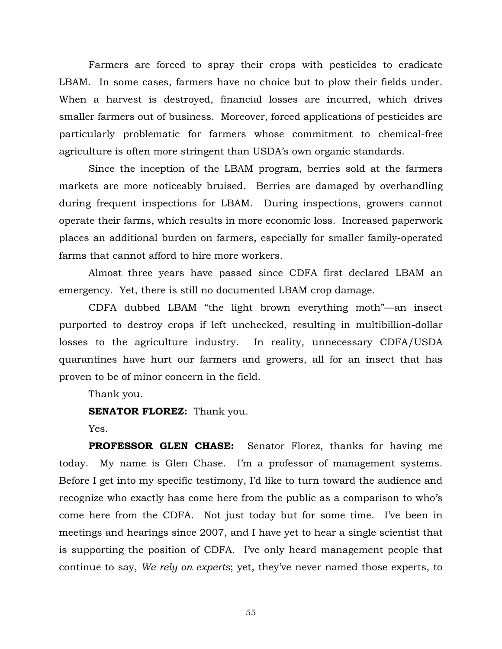Farmers are forced to spray their crops with pesticides to eradicate LBAM. In some cases, farmers have no choice but to plow their fields under. When a harvest is destroyed, financial losses are incurred, which drives smaller farmers out of business. Moreover, forced applications of pesticides are particularly problematic for farmers whose commitment to chemical-free agriculture is often more stringent than USDA's own organic standards.

 Since the inception of the LBAM program, berries sold at the farmers markets are more noticeably bruised. Berries are damaged by overhandling during frequent inspections for LBAM. During inspections, growers cannot operate their farms, which results in more economic loss. Increased paperwork places an additional burden on farmers, especially for smaller family-operated farms that cannot afford to hire more workers.

 Almost three years have passed since CDFA first declared LBAM an emergency. Yet, there is still no documented LBAM crop damage.

 CDFA dubbed LBAM "the light brown everything moth"—an insect purported to destroy crops if left unchecked, resulting in multibillion-dollar losses to the agriculture industry. In reality, unnecessary CDFA/USDA quarantines have hurt our farmers and growers, all for an insect that has proven to be of minor concern in the field.

Thank you.

**SENATOR FLOREZ:** Thank you.

Yes.

 **PROFESSOR GLEN CHASE:** Senator Florez, thanks for having me today. My name is Glen Chase. I'm a professor of management systems. Before I get into my specific testimony, I'd like to turn toward the audience and recognize who exactly has come here from the public as a comparison to who's come here from the CDFA. Not just today but for some time. I've been in meetings and hearings since 2007, and I have yet to hear a single scientist that is supporting the position of CDFA. I've only heard management people that continue to say, *We rely on experts*; yet, they've never named those experts, to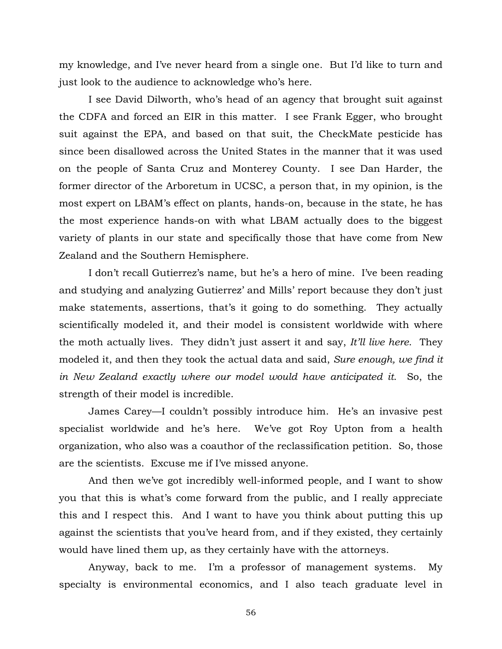my knowledge, and I've never heard from a single one. But I'd like to turn and just look to the audience to acknowledge who's here.

 I see David Dilworth, who's head of an agency that brought suit against the CDFA and forced an EIR in this matter. I see Frank Egger, who brought suit against the EPA, and based on that suit, the CheckMate pesticide has since been disallowed across the United States in the manner that it was used on the people of Santa Cruz and Monterey County. I see Dan Harder, the former director of the Arboretum in UCSC, a person that, in my opinion, is the most expert on LBAM's effect on plants, hands-on, because in the state, he has the most experience hands-on with what LBAM actually does to the biggest variety of plants in our state and specifically those that have come from New Zealand and the Southern Hemisphere.

 I don't recall Gutierrez's name, but he's a hero of mine. I've been reading and studying and analyzing Gutierrez' and Mills' report because they don't just make statements, assertions, that's it going to do something. They actually scientifically modeled it, and their model is consistent worldwide with where the moth actually lives. They didn't just assert it and say, *It'll live here*. They modeled it, and then they took the actual data and said, *Sure enough, we find it in New Zealand exactly where our model would have anticipated it*. So, the strength of their model is incredible.

 James Carey—I couldn't possibly introduce him. He's an invasive pest specialist worldwide and he's here. We've got Roy Upton from a health organization, who also was a coauthor of the reclassification petition. So, those are the scientists. Excuse me if I've missed anyone.

 And then we've got incredibly well-informed people, and I want to show you that this is what's come forward from the public, and I really appreciate this and I respect this. And I want to have you think about putting this up against the scientists that you've heard from, and if they existed, they certainly would have lined them up, as they certainly have with the attorneys.

 Anyway, back to me. I'm a professor of management systems. My specialty is environmental economics, and I also teach graduate level in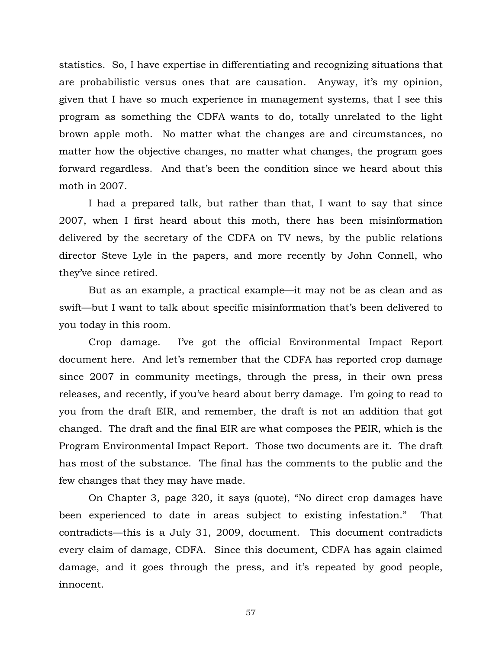statistics. So, I have expertise in differentiating and recognizing situations that are probabilistic versus ones that are causation. Anyway, it's my opinion, given that I have so much experience in management systems, that I see this program as something the CDFA wants to do, totally unrelated to the light brown apple moth. No matter what the changes are and circumstances, no matter how the objective changes, no matter what changes, the program goes forward regardless. And that's been the condition since we heard about this moth in 2007.

 I had a prepared talk, but rather than that, I want to say that since 2007, when I first heard about this moth, there has been misinformation delivered by the secretary of the CDFA on TV news, by the public relations director Steve Lyle in the papers, and more recently by John Connell, who they've since retired.

 But as an example, a practical example—it may not be as clean and as swift—but I want to talk about specific misinformation that's been delivered to you today in this room.

 Crop damage. I've got the official Environmental Impact Report document here. And let's remember that the CDFA has reported crop damage since 2007 in community meetings, through the press, in their own press releases, and recently, if you've heard about berry damage. I'm going to read to you from the draft EIR, and remember, the draft is not an addition that got changed. The draft and the final EIR are what composes the PEIR, which is the Program Environmental Impact Report. Those two documents are it. The draft has most of the substance. The final has the comments to the public and the few changes that they may have made.

 On Chapter 3, page 320, it says (quote), "No direct crop damages have been experienced to date in areas subject to existing infestation." That contradicts—this is a July 31, 2009, document. This document contradicts every claim of damage, CDFA. Since this document, CDFA has again claimed damage, and it goes through the press, and it's repeated by good people, innocent.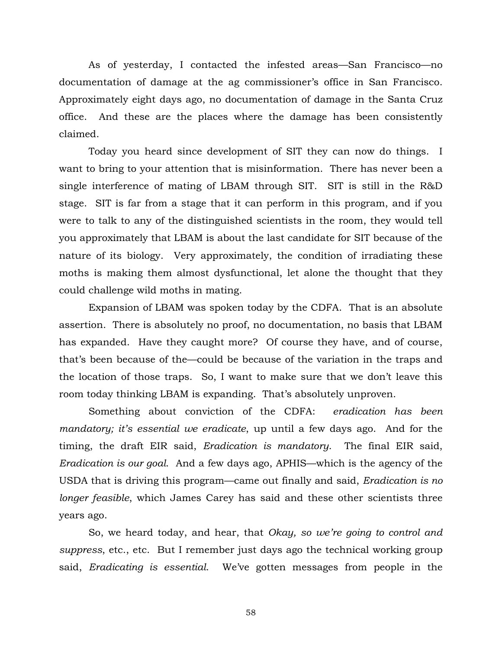As of yesterday, I contacted the infested areas—San Francisco—no documentation of damage at the ag commissioner's office in San Francisco. Approximately eight days ago, no documentation of damage in the Santa Cruz office. And these are the places where the damage has been consistently claimed.

 Today you heard since development of SIT they can now do things. I want to bring to your attention that is misinformation. There has never been a single interference of mating of LBAM through SIT. SIT is still in the R&D stage. SIT is far from a stage that it can perform in this program, and if you were to talk to any of the distinguished scientists in the room, they would tell you approximately that LBAM is about the last candidate for SIT because of the nature of its biology. Very approximately, the condition of irradiating these moths is making them almost dysfunctional, let alone the thought that they could challenge wild moths in mating.

 Expansion of LBAM was spoken today by the CDFA. That is an absolute assertion. There is absolutely no proof, no documentation, no basis that LBAM has expanded. Have they caught more? Of course they have, and of course, that's been because of the—could be because of the variation in the traps and the location of those traps. So, I want to make sure that we don't leave this room today thinking LBAM is expanding. That's absolutely unproven.

 Something about conviction of the CDFA: *eradication has been mandatory; it's essential we eradicate*, up until a few days ago. And for the timing, the draft EIR said, *Eradication is mandatory*. The final EIR said, *Eradication is our goal*. And a few days ago, APHIS—which is the agency of the USDA that is driving this program—came out finally and said, *Eradication is no longer feasible*, which James Carey has said and these other scientists three years ago.

 So, we heard today, and hear, that *Okay, so we're going to control and suppress*, etc., etc. But I remember just days ago the technical working group said, *Eradicating is essential*. We've gotten messages from people in the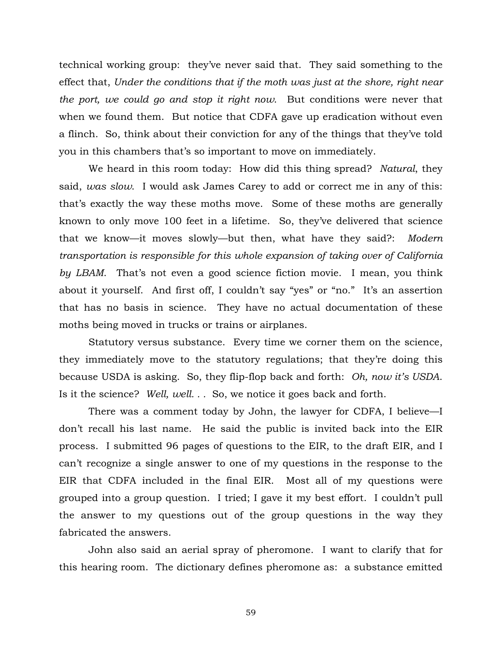technical working group: they've never said that. They said something to the effect that, *Under the conditions that if the moth was just at the shore, right near the port, we could go and stop it right now*. But conditions were never that when we found them. But notice that CDFA gave up eradication without even a flinch. So, think about their conviction for any of the things that they've told you in this chambers that's so important to move on immediately.

 We heard in this room today: How did this thing spread? *Natural*, they said, *was slow*. I would ask James Carey to add or correct me in any of this: that's exactly the way these moths move. Some of these moths are generally known to only move 100 feet in a lifetime. So, they've delivered that science that we know—it moves slowly—but then, what have they said?: *Modern transportation is responsible for this whole expansion of taking over of California by LBAM*. That's not even a good science fiction movie. I mean, you think about it yourself. And first off, I couldn't say "yes" or "no." It's an assertion that has no basis in science. They have no actual documentation of these moths being moved in trucks or trains or airplanes.

 Statutory versus substance. Every time we corner them on the science, they immediately move to the statutory regulations; that they're doing this because USDA is asking. So, they flip-flop back and forth: *Oh, now it's USDA*. Is it the science? *Well, well. . .* So, we notice it goes back and forth.

 There was a comment today by John, the lawyer for CDFA, I believe—I don't recall his last name. He said the public is invited back into the EIR process. I submitted 96 pages of questions to the EIR, to the draft EIR, and I can't recognize a single answer to one of my questions in the response to the EIR that CDFA included in the final EIR. Most all of my questions were grouped into a group question. I tried; I gave it my best effort. I couldn't pull the answer to my questions out of the group questions in the way they fabricated the answers.

 John also said an aerial spray of pheromone. I want to clarify that for this hearing room. The dictionary defines pheromone as: a substance emitted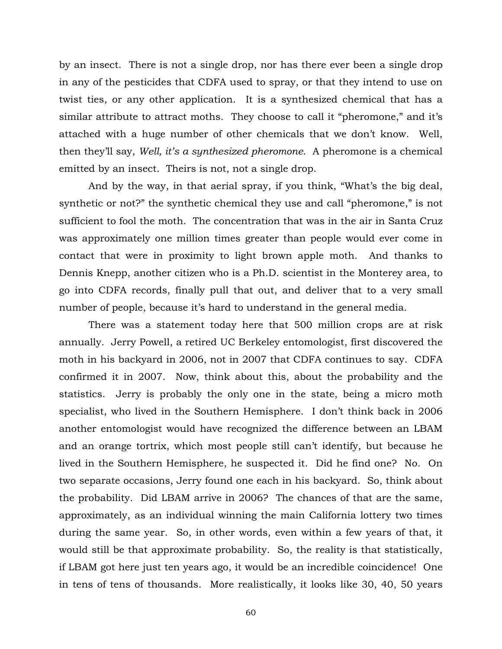by an insect. There is not a single drop, nor has there ever been a single drop in any of the pesticides that CDFA used to spray, or that they intend to use on twist ties, or any other application. It is a synthesized chemical that has a similar attribute to attract moths. They choose to call it "pheromone," and it's attached with a huge number of other chemicals that we don't know. Well, then they'll say, *Well, it's a synthesized pheromone*. A pheromone is a chemical emitted by an insect. Theirs is not, not a single drop.

 And by the way, in that aerial spray, if you think, "What's the big deal, synthetic or not?" the synthetic chemical they use and call "pheromone," is not sufficient to fool the moth. The concentration that was in the air in Santa Cruz was approximately one million times greater than people would ever come in contact that were in proximity to light brown apple moth. And thanks to Dennis Knepp, another citizen who is a Ph.D. scientist in the Monterey area, to go into CDFA records, finally pull that out, and deliver that to a very small number of people, because it's hard to understand in the general media.

 There was a statement today here that 500 million crops are at risk annually. Jerry Powell, a retired UC Berkeley entomologist, first discovered the moth in his backyard in 2006, not in 2007 that CDFA continues to say. CDFA confirmed it in 2007. Now, think about this, about the probability and the statistics. Jerry is probably the only one in the state, being a micro moth specialist, who lived in the Southern Hemisphere. I don't think back in 2006 another entomologist would have recognized the difference between an LBAM and an orange tortrix, which most people still can't identify, but because he lived in the Southern Hemisphere, he suspected it. Did he find one? No. On two separate occasions, Jerry found one each in his backyard. So, think about the probability. Did LBAM arrive in 2006? The chances of that are the same, approximately, as an individual winning the main California lottery two times during the same year. So, in other words, even within a few years of that, it would still be that approximate probability. So, the reality is that statistically, if LBAM got here just ten years ago, it would be an incredible coincidence! One in tens of tens of thousands. More realistically, it looks like 30, 40, 50 years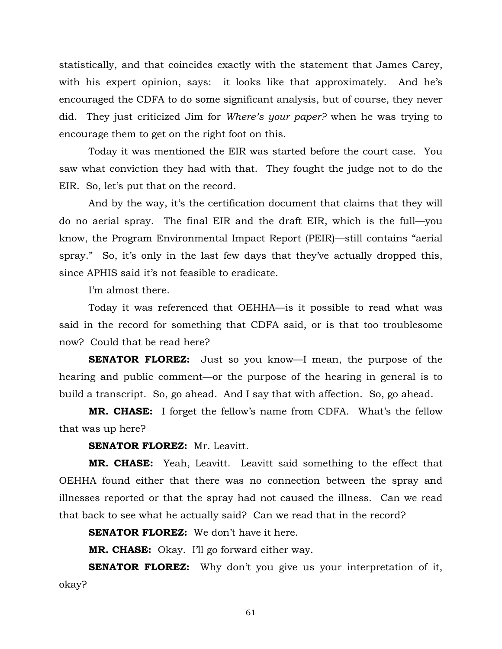statistically, and that coincides exactly with the statement that James Carey, with his expert opinion, says: it looks like that approximately. And he's encouraged the CDFA to do some significant analysis, but of course, they never did. They just criticized Jim for *Where's your paper?* when he was trying to encourage them to get on the right foot on this.

 Today it was mentioned the EIR was started before the court case. You saw what conviction they had with that. They fought the judge not to do the EIR. So, let's put that on the record.

 And by the way, it's the certification document that claims that they will do no aerial spray. The final EIR and the draft EIR, which is the full—you know, the Program Environmental Impact Report (PEIR)—still contains "aerial spray." So, it's only in the last few days that they've actually dropped this, since APHIS said it's not feasible to eradicate.

I'm almost there.

 Today it was referenced that OEHHA—is it possible to read what was said in the record for something that CDFA said, or is that too troublesome now? Could that be read here?

**SENATOR FLOREZ:** Just so you know—I mean, the purpose of the hearing and public comment—or the purpose of the hearing in general is to build a transcript. So, go ahead. And I say that with affection. So, go ahead.

 **MR. CHASE:** I forget the fellow's name from CDFA. What's the fellow that was up here?

 **SENATOR FLOREZ:** Mr. Leavitt.

 **MR. CHASE:** Yeah, Leavitt. Leavitt said something to the effect that OEHHA found either that there was no connection between the spray and illnesses reported or that the spray had not caused the illness. Can we read that back to see what he actually said? Can we read that in the record?

 **SENATOR FLOREZ:** We don't have it here.

 **MR. CHASE:** Okay. I'll go forward either way.

 **SENATOR FLOREZ:** Why don't you give us your interpretation of it, okay?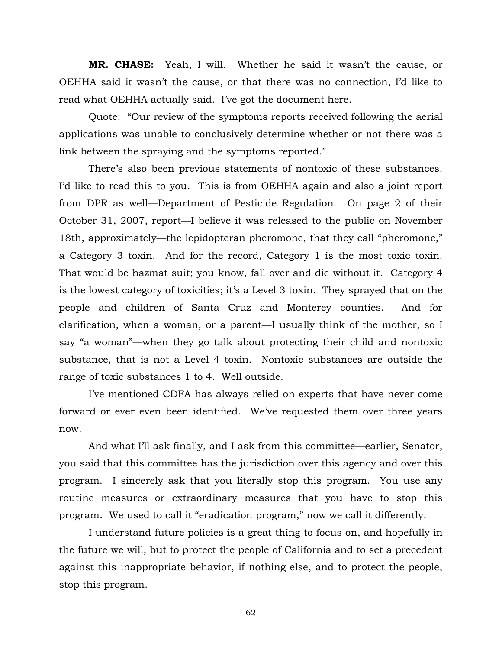**MR. CHASE:** Yeah, I will. Whether he said it wasn't the cause, or OEHHA said it wasn't the cause, or that there was no connection, I'd like to read what OEHHA actually said. I've got the document here.

 Quote: "Our review of the symptoms reports received following the aerial applications was unable to conclusively determine whether or not there was a link between the spraying and the symptoms reported."

 There's also been previous statements of nontoxic of these substances. I'd like to read this to you. This is from OEHHA again and also a joint report from DPR as well—Department of Pesticide Regulation. On page 2 of their October 31, 2007, report—I believe it was released to the public on November 18th, approximately—the lepidopteran pheromone, that they call "pheromone," a Category 3 toxin. And for the record, Category 1 is the most toxic toxin. That would be hazmat suit; you know, fall over and die without it. Category 4 is the lowest category of toxicities; it's a Level 3 toxin. They sprayed that on the people and children of Santa Cruz and Monterey counties. And for clarification, when a woman, or a parent—I usually think of the mother, so I say "a woman"—when they go talk about protecting their child and nontoxic substance, that is not a Level 4 toxin. Nontoxic substances are outside the range of toxic substances 1 to 4. Well outside.

 I've mentioned CDFA has always relied on experts that have never come forward or ever even been identified. We've requested them over three years now.

 And what I'll ask finally, and I ask from this committee—earlier, Senator, you said that this committee has the jurisdiction over this agency and over this program. I sincerely ask that you literally stop this program. You use any routine measures or extraordinary measures that you have to stop this program. We used to call it "eradication program," now we call it differently.

 I understand future policies is a great thing to focus on, and hopefully in the future we will, but to protect the people of California and to set a precedent against this inappropriate behavior, if nothing else, and to protect the people, stop this program.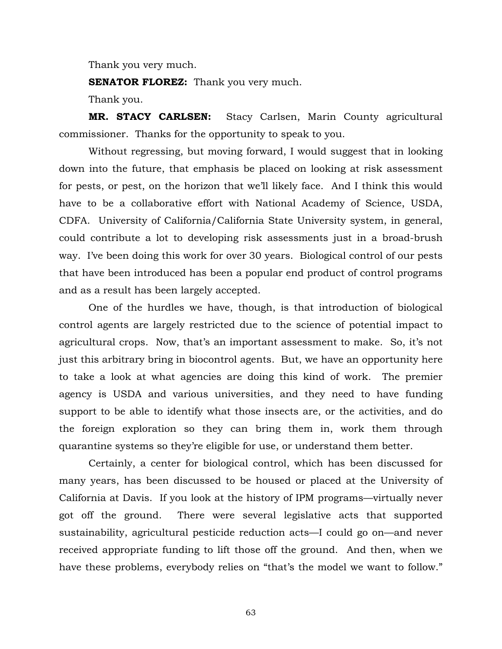Thank you very much.

**SENATOR FLOREZ:** Thank you very much.

Thank you.

 **MR. STACY CARLSEN:** Stacy Carlsen, Marin County agricultural commissioner. Thanks for the opportunity to speak to you.

 Without regressing, but moving forward, I would suggest that in looking down into the future, that emphasis be placed on looking at risk assessment for pests, or pest, on the horizon that we'll likely face. And I think this would have to be a collaborative effort with National Academy of Science, USDA, CDFA. University of California/California State University system, in general, could contribute a lot to developing risk assessments just in a broad-brush way. I've been doing this work for over 30 years. Biological control of our pests that have been introduced has been a popular end product of control programs and as a result has been largely accepted.

 One of the hurdles we have, though, is that introduction of biological control agents are largely restricted due to the science of potential impact to agricultural crops. Now, that's an important assessment to make. So, it's not just this arbitrary bring in biocontrol agents. But, we have an opportunity here to take a look at what agencies are doing this kind of work. The premier agency is USDA and various universities, and they need to have funding support to be able to identify what those insects are, or the activities, and do the foreign exploration so they can bring them in, work them through quarantine systems so they're eligible for use, or understand them better.

 Certainly, a center for biological control, which has been discussed for many years, has been discussed to be housed or placed at the University of California at Davis. If you look at the history of IPM programs—virtually never got off the ground. There were several legislative acts that supported sustainability, agricultural pesticide reduction acts—I could go on—and never received appropriate funding to lift those off the ground. And then, when we have these problems, everybody relies on "that's the model we want to follow."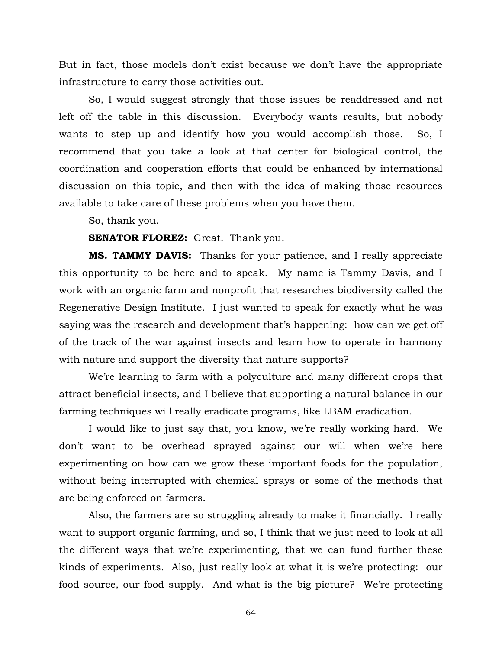But in fact, those models don't exist because we don't have the appropriate infrastructure to carry those activities out.

 So, I would suggest strongly that those issues be readdressed and not left off the table in this discussion. Everybody wants results, but nobody wants to step up and identify how you would accomplish those. So, I recommend that you take a look at that center for biological control, the coordination and cooperation efforts that could be enhanced by international discussion on this topic, and then with the idea of making those resources available to take care of these problems when you have them.

So, thank you.

## **SENATOR FLOREZ:** Great. Thank you.

**MS. TAMMY DAVIS:** Thanks for your patience, and I really appreciate this opportunity to be here and to speak. My name is Tammy Davis, and I work with an organic farm and nonprofit that researches biodiversity called the Regenerative Design Institute. I just wanted to speak for exactly what he was saying was the research and development that's happening: how can we get off of the track of the war against insects and learn how to operate in harmony with nature and support the diversity that nature supports?

 We're learning to farm with a polyculture and many different crops that attract beneficial insects, and I believe that supporting a natural balance in our farming techniques will really eradicate programs, like LBAM eradication.

 I would like to just say that, you know, we're really working hard. We don't want to be overhead sprayed against our will when we're here experimenting on how can we grow these important foods for the population, without being interrupted with chemical sprays or some of the methods that are being enforced on farmers.

 Also, the farmers are so struggling already to make it financially. I really want to support organic farming, and so, I think that we just need to look at all the different ways that we're experimenting, that we can fund further these kinds of experiments. Also, just really look at what it is we're protecting: our food source, our food supply. And what is the big picture? We're protecting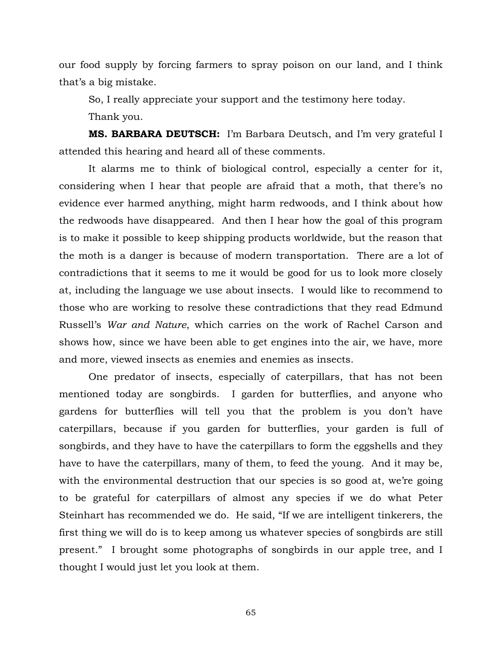our food supply by forcing farmers to spray poison on our land, and I think that's a big mistake.

So, I really appreciate your support and the testimony here today.

Thank you.

 **MS. BARBARA DEUTSCH:** I'm Barbara Deutsch, and I'm very grateful I attended this hearing and heard all of these comments.

 It alarms me to think of biological control, especially a center for it, considering when I hear that people are afraid that a moth, that there's no evidence ever harmed anything, might harm redwoods, and I think about how the redwoods have disappeared. And then I hear how the goal of this program is to make it possible to keep shipping products worldwide, but the reason that the moth is a danger is because of modern transportation. There are a lot of contradictions that it seems to me it would be good for us to look more closely at, including the language we use about insects. I would like to recommend to those who are working to resolve these contradictions that they read Edmund Russell's *War and Nature*, which carries on the work of Rachel Carson and shows how, since we have been able to get engines into the air, we have, more and more, viewed insects as enemies and enemies as insects.

 One predator of insects, especially of caterpillars, that has not been mentioned today are songbirds. I garden for butterflies, and anyone who gardens for butterflies will tell you that the problem is you don't have caterpillars, because if you garden for butterflies, your garden is full of songbirds, and they have to have the caterpillars to form the eggshells and they have to have the caterpillars, many of them, to feed the young. And it may be, with the environmental destruction that our species is so good at, we're going to be grateful for caterpillars of almost any species if we do what Peter Steinhart has recommended we do. He said, "If we are intelligent tinkerers, the first thing we will do is to keep among us whatever species of songbirds are still present." I brought some photographs of songbirds in our apple tree, and I thought I would just let you look at them.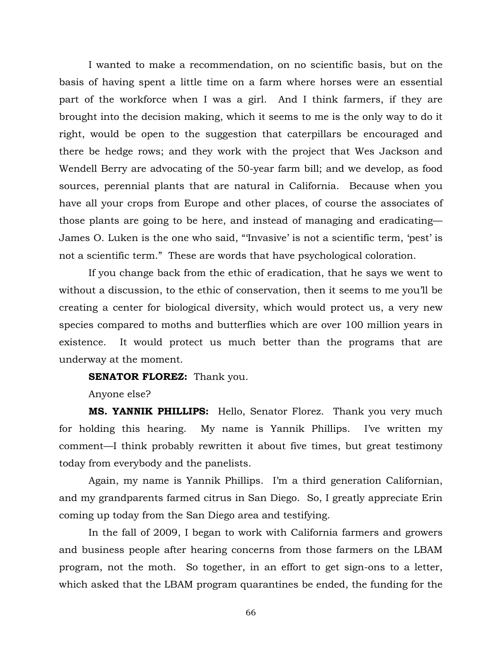I wanted to make a recommendation, on no scientific basis, but on the basis of having spent a little time on a farm where horses were an essential part of the workforce when I was a girl. And I think farmers, if they are brought into the decision making, which it seems to me is the only way to do it right, would be open to the suggestion that caterpillars be encouraged and there be hedge rows; and they work with the project that Wes Jackson and Wendell Berry are advocating of the 50-year farm bill; and we develop, as food sources, perennial plants that are natural in California. Because when you have all your crops from Europe and other places, of course the associates of those plants are going to be here, and instead of managing and eradicating— James O. Luken is the one who said, "'Invasive' is not a scientific term, 'pest' is not a scientific term." These are words that have psychological coloration.

 If you change back from the ethic of eradication, that he says we went to without a discussion, to the ethic of conservation, then it seems to me you'll be creating a center for biological diversity, which would protect us, a very new species compared to moths and butterflies which are over 100 million years in existence. It would protect us much better than the programs that are underway at the moment.

**SENATOR FLOREZ:** Thank you.

Anyone else?

**MS. YANNIK PHILLIPS:** Hello, Senator Florez. Thank you very much for holding this hearing. My name is Yannik Phillips. I've written my comment—I think probably rewritten it about five times, but great testimony today from everybody and the panelists.

 Again, my name is Yannik Phillips. I'm a third generation Californian, and my grandparents farmed citrus in San Diego. So, I greatly appreciate Erin coming up today from the San Diego area and testifying.

 In the fall of 2009, I began to work with California farmers and growers and business people after hearing concerns from those farmers on the LBAM program, not the moth. So together, in an effort to get sign-ons to a letter, which asked that the LBAM program quarantines be ended, the funding for the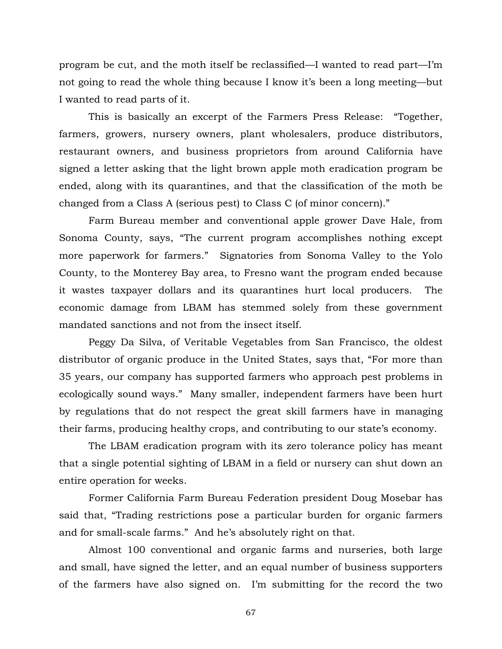program be cut, and the moth itself be reclassified—I wanted to read part—I'm not going to read the whole thing because I know it's been a long meeting—but I wanted to read parts of it.

 This is basically an excerpt of the Farmers Press Release: "Together, farmers, growers, nursery owners, plant wholesalers, produce distributors, restaurant owners, and business proprietors from around California have signed a letter asking that the light brown apple moth eradication program be ended, along with its quarantines, and that the classification of the moth be changed from a Class A (serious pest) to Class C (of minor concern)."

 Farm Bureau member and conventional apple grower Dave Hale, from Sonoma County, says, "The current program accomplishes nothing except more paperwork for farmers." Signatories from Sonoma Valley to the Yolo County, to the Monterey Bay area, to Fresno want the program ended because it wastes taxpayer dollars and its quarantines hurt local producers. The economic damage from LBAM has stemmed solely from these government mandated sanctions and not from the insect itself.

 Peggy Da Silva, of Veritable Vegetables from San Francisco, the oldest distributor of organic produce in the United States, says that, "For more than 35 years, our company has supported farmers who approach pest problems in ecologically sound ways." Many smaller, independent farmers have been hurt by regulations that do not respect the great skill farmers have in managing their farms, producing healthy crops, and contributing to our state's economy.

 The LBAM eradication program with its zero tolerance policy has meant that a single potential sighting of LBAM in a field or nursery can shut down an entire operation for weeks.

 Former California Farm Bureau Federation president Doug Mosebar has said that, "Trading restrictions pose a particular burden for organic farmers and for small-scale farms." And he's absolutely right on that.

 Almost 100 conventional and organic farms and nurseries, both large and small, have signed the letter, and an equal number of business supporters of the farmers have also signed on. I'm submitting for the record the two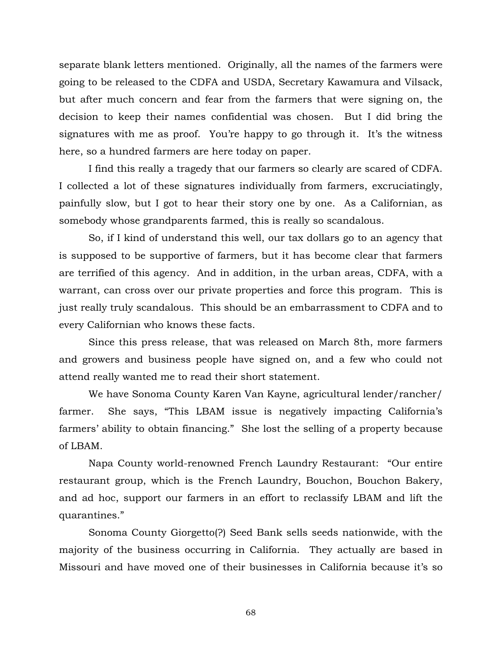separate blank letters mentioned. Originally, all the names of the farmers were going to be released to the CDFA and USDA, Secretary Kawamura and Vilsack, but after much concern and fear from the farmers that were signing on, the decision to keep their names confidential was chosen. But I did bring the signatures with me as proof. You're happy to go through it. It's the witness here, so a hundred farmers are here today on paper.

 I find this really a tragedy that our farmers so clearly are scared of CDFA. I collected a lot of these signatures individually from farmers, excruciatingly, painfully slow, but I got to hear their story one by one. As a Californian, as somebody whose grandparents farmed, this is really so scandalous.

 So, if I kind of understand this well, our tax dollars go to an agency that is supposed to be supportive of farmers, but it has become clear that farmers are terrified of this agency. And in addition, in the urban areas, CDFA, with a warrant, can cross over our private properties and force this program. This is just really truly scandalous. This should be an embarrassment to CDFA and to every Californian who knows these facts.

 Since this press release, that was released on March 8th, more farmers and growers and business people have signed on, and a few who could not attend really wanted me to read their short statement.

 We have Sonoma County Karen Van Kayne, agricultural lender/rancher/ farmer. She says, "This LBAM issue is negatively impacting California's farmers' ability to obtain financing." She lost the selling of a property because of LBAM.

 Napa County world-renowned French Laundry Restaurant: "Our entire restaurant group, which is the French Laundry, Bouchon, Bouchon Bakery, and ad hoc, support our farmers in an effort to reclassify LBAM and lift the quarantines."

 Sonoma County Giorgetto(?) Seed Bank sells seeds nationwide, with the majority of the business occurring in California. They actually are based in Missouri and have moved one of their businesses in California because it's so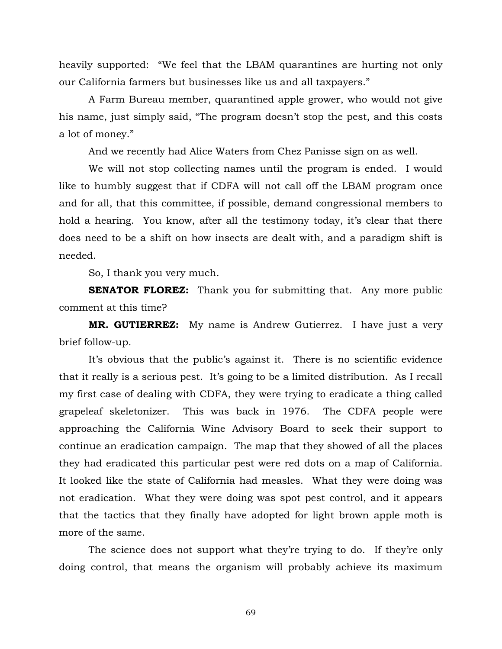heavily supported: "We feel that the LBAM quarantines are hurting not only our California farmers but businesses like us and all taxpayers."

 A Farm Bureau member, quarantined apple grower, who would not give his name, just simply said, "The program doesn't stop the pest, and this costs a lot of money."

And we recently had Alice Waters from Chez Panisse sign on as well.

 We will not stop collecting names until the program is ended. I would like to humbly suggest that if CDFA will not call off the LBAM program once and for all, that this committee, if possible, demand congressional members to hold a hearing. You know, after all the testimony today, it's clear that there does need to be a shift on how insects are dealt with, and a paradigm shift is needed.

So, I thank you very much.

**SENATOR FLOREZ:** Thank you for submitting that. Any more public comment at this time?

**MR. GUTIERREZ:** My name is Andrew Gutierrez. I have just a very brief follow-up.

 It's obvious that the public's against it. There is no scientific evidence that it really is a serious pest. It's going to be a limited distribution. As I recall my first case of dealing with CDFA, they were trying to eradicate a thing called grapeleaf skeletonizer. This was back in 1976. The CDFA people were approaching the California Wine Advisory Board to seek their support to continue an eradication campaign. The map that they showed of all the places they had eradicated this particular pest were red dots on a map of California. It looked like the state of California had measles. What they were doing was not eradication. What they were doing was spot pest control, and it appears that the tactics that they finally have adopted for light brown apple moth is more of the same.

 The science does not support what they're trying to do. If they're only doing control, that means the organism will probably achieve its maximum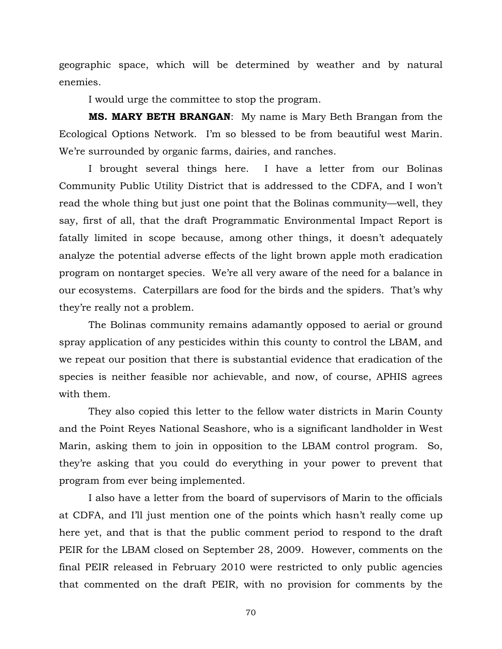geographic space, which will be determined by weather and by natural enemies.

I would urge the committee to stop the program.

**MS. MARY BETH BRANGAN**: My name is Mary Beth Brangan from the Ecological Options Network. I'm so blessed to be from beautiful west Marin. We're surrounded by organic farms, dairies, and ranches.

 I brought several things here. I have a letter from our Bolinas Community Public Utility District that is addressed to the CDFA, and I won't read the whole thing but just one point that the Bolinas community—well, they say, first of all, that the draft Programmatic Environmental Impact Report is fatally limited in scope because, among other things, it doesn't adequately analyze the potential adverse effects of the light brown apple moth eradication program on nontarget species. We're all very aware of the need for a balance in our ecosystems. Caterpillars are food for the birds and the spiders. That's why they're really not a problem.

 The Bolinas community remains adamantly opposed to aerial or ground spray application of any pesticides within this county to control the LBAM, and we repeat our position that there is substantial evidence that eradication of the species is neither feasible nor achievable, and now, of course, APHIS agrees with them.

 They also copied this letter to the fellow water districts in Marin County and the Point Reyes National Seashore, who is a significant landholder in West Marin, asking them to join in opposition to the LBAM control program. So, they're asking that you could do everything in your power to prevent that program from ever being implemented.

 I also have a letter from the board of supervisors of Marin to the officials at CDFA, and I'll just mention one of the points which hasn't really come up here yet, and that is that the public comment period to respond to the draft PEIR for the LBAM closed on September 28, 2009. However, comments on the final PEIR released in February 2010 were restricted to only public agencies that commented on the draft PEIR, with no provision for comments by the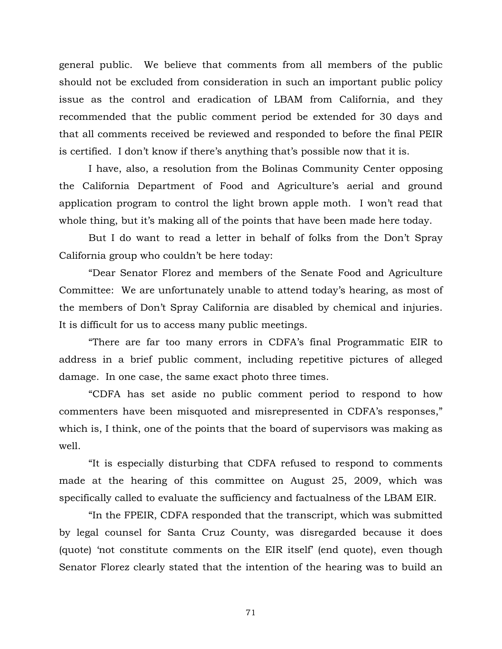general public. We believe that comments from all members of the public should not be excluded from consideration in such an important public policy issue as the control and eradication of LBAM from California, and they recommended that the public comment period be extended for 30 days and that all comments received be reviewed and responded to before the final PEIR is certified. I don't know if there's anything that's possible now that it is.

 I have, also, a resolution from the Bolinas Community Center opposing the California Department of Food and Agriculture's aerial and ground application program to control the light brown apple moth. I won't read that whole thing, but it's making all of the points that have been made here today.

 But I do want to read a letter in behalf of folks from the Don't Spray California group who couldn't be here today:

 "Dear Senator Florez and members of the Senate Food and Agriculture Committee: We are unfortunately unable to attend today's hearing, as most of the members of Don't Spray California are disabled by chemical and injuries. It is difficult for us to access many public meetings.

 "There are far too many errors in CDFA's final Programmatic EIR to address in a brief public comment, including repetitive pictures of alleged damage. In one case, the same exact photo three times.

 "CDFA has set aside no public comment period to respond to how commenters have been misquoted and misrepresented in CDFA's responses," which is, I think, one of the points that the board of supervisors was making as well.

 "It is especially disturbing that CDFA refused to respond to comments made at the hearing of this committee on August 25, 2009, which was specifically called to evaluate the sufficiency and factualness of the LBAM EIR.

 "In the FPEIR, CDFA responded that the transcript, which was submitted by legal counsel for Santa Cruz County, was disregarded because it does (quote) 'not constitute comments on the EIR itself' (end quote), even though Senator Florez clearly stated that the intention of the hearing was to build an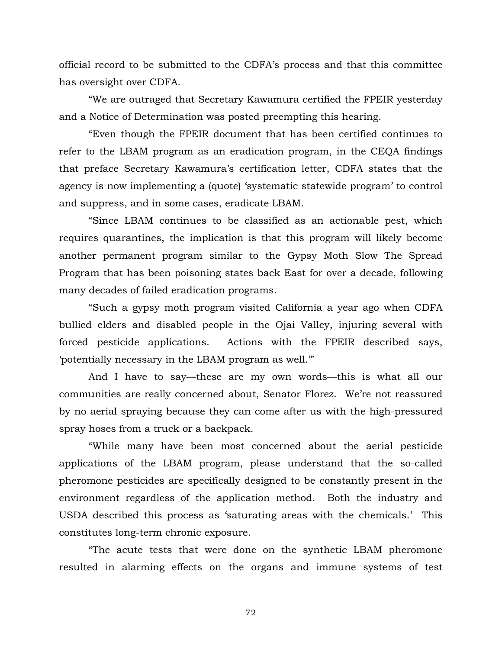official record to be submitted to the CDFA's process and that this committee has oversight over CDFA.

 "We are outraged that Secretary Kawamura certified the FPEIR yesterday and a Notice of Determination was posted preempting this hearing.

 "Even though the FPEIR document that has been certified continues to refer to the LBAM program as an eradication program, in the CEQA findings that preface Secretary Kawamura's certification letter, CDFA states that the agency is now implementing a (quote) 'systematic statewide program' to control and suppress, and in some cases, eradicate LBAM.

 "Since LBAM continues to be classified as an actionable pest, which requires quarantines, the implication is that this program will likely become another permanent program similar to the Gypsy Moth Slow The Spread Program that has been poisoning states back East for over a decade, following many decades of failed eradication programs.

 "Such a gypsy moth program visited California a year ago when CDFA bullied elders and disabled people in the Ojai Valley, injuring several with forced pesticide applications. Actions with the FPEIR described says, 'potentially necessary in the LBAM program as well.'"

 And I have to say—these are my own words—this is what all our communities are really concerned about, Senator Florez. We're not reassured by no aerial spraying because they can come after us with the high-pressured spray hoses from a truck or a backpack.

 "While many have been most concerned about the aerial pesticide applications of the LBAM program, please understand that the so-called pheromone pesticides are specifically designed to be constantly present in the environment regardless of the application method. Both the industry and USDA described this process as 'saturating areas with the chemicals.' This constitutes long-term chronic exposure.

 "The acute tests that were done on the synthetic LBAM pheromone resulted in alarming effects on the organs and immune systems of test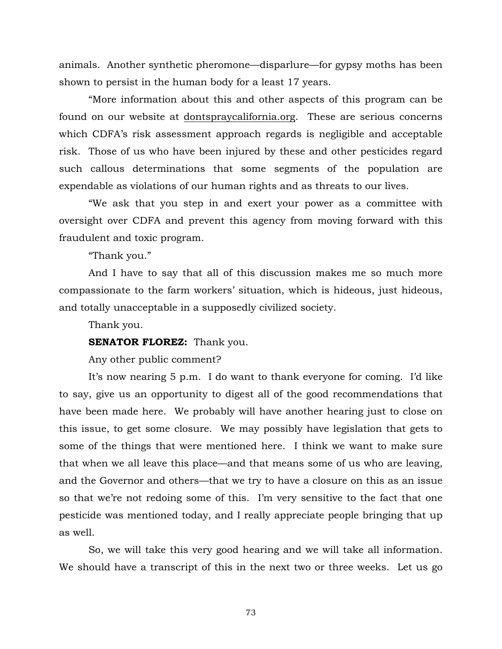animals. Another synthetic pheromone—disparlure—for gypsy moths has been shown to persist in the human body for a least 17 years.

 "More information about this and other aspects of this program can be found on our website at [dontspraycalifornia.org](http://dontspraycalifornia.org/). These are serious concerns which CDFA's risk assessment approach regards is negligible and acceptable risk. Those of us who have been injured by these and other pesticides regard such callous determinations that some segments of the population are expendable as violations of our human rights and as threats to our lives.

 "We ask that you step in and exert your power as a committee with oversight over CDFA and prevent this agency from moving forward with this fraudulent and toxic program.

"Thank you."

 And I have to say that all of this discussion makes me so much more compassionate to the farm workers' situation, which is hideous, just hideous, and totally unacceptable in a supposedly civilized society.

Thank you.

## **SENATOR FLOREZ:** Thank you.

Any other public comment?

 It's now nearing 5 p.m. I do want to thank everyone for coming. I'd like to say, give us an opportunity to digest all of the good recommendations that have been made here. We probably will have another hearing just to close on this issue, to get some closure. We may possibly have legislation that gets to some of the things that were mentioned here. I think we want to make sure that when we all leave this place—and that means some of us who are leaving, and the Governor and others—that we try to have a closure on this as an issue so that we're not redoing some of this. I'm very sensitive to the fact that one pesticide was mentioned today, and I really appreciate people bringing that up as well.

 So, we will take this very good hearing and we will take all information. We should have a transcript of this in the next two or three weeks. Let us go